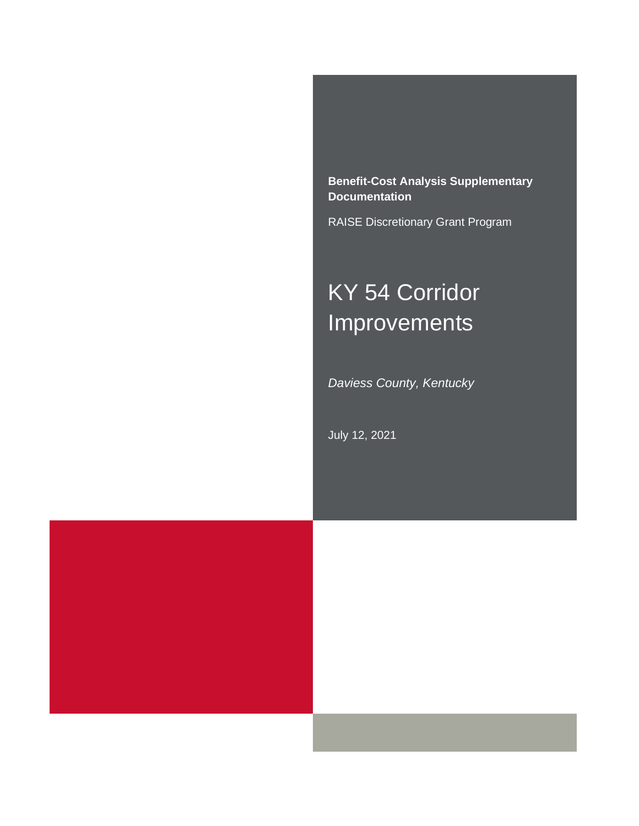**Benefit-Cost Analysis Supplementary Documentation**

RAISE Discretionary Grant Program

# KY 54 Corridor Improvements

*Daviess County, Kentucky*

July 12, 2021

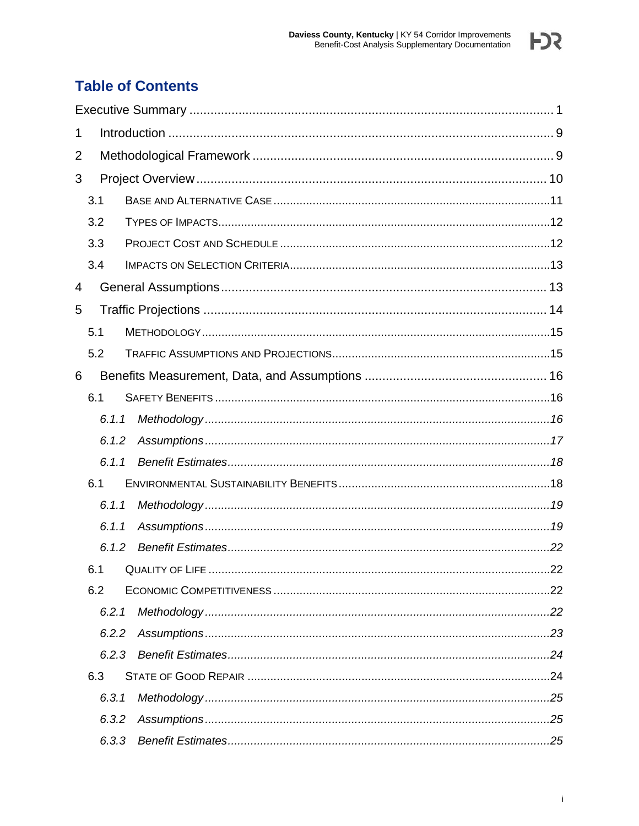

# **Table of Contents**

| 1 |     |       |  |  |  |  |  |  |
|---|-----|-------|--|--|--|--|--|--|
| 2 |     |       |  |  |  |  |  |  |
| 3 |     |       |  |  |  |  |  |  |
|   | 3.1 |       |  |  |  |  |  |  |
|   | 3.2 |       |  |  |  |  |  |  |
|   | 3.3 |       |  |  |  |  |  |  |
|   | 3.4 |       |  |  |  |  |  |  |
| 4 |     |       |  |  |  |  |  |  |
| 5 |     |       |  |  |  |  |  |  |
|   | 5.1 |       |  |  |  |  |  |  |
|   | 5.2 |       |  |  |  |  |  |  |
| 6 |     |       |  |  |  |  |  |  |
|   | 6.1 |       |  |  |  |  |  |  |
|   |     | 6.1.1 |  |  |  |  |  |  |
|   |     | 6.1.2 |  |  |  |  |  |  |
|   |     | 6.1.1 |  |  |  |  |  |  |
|   | 6.1 |       |  |  |  |  |  |  |
|   |     | 6.1.1 |  |  |  |  |  |  |
|   |     | 6.1.1 |  |  |  |  |  |  |
|   |     | 6.1.2 |  |  |  |  |  |  |
|   |     |       |  |  |  |  |  |  |
|   | 6.2 |       |  |  |  |  |  |  |
|   |     | 6.2.1 |  |  |  |  |  |  |
|   |     | 6.2.2 |  |  |  |  |  |  |
|   |     | 6.2.3 |  |  |  |  |  |  |
|   | 6.3 |       |  |  |  |  |  |  |
|   |     | 6.3.1 |  |  |  |  |  |  |
|   |     | 6.3.2 |  |  |  |  |  |  |
|   |     | 6.3.3 |  |  |  |  |  |  |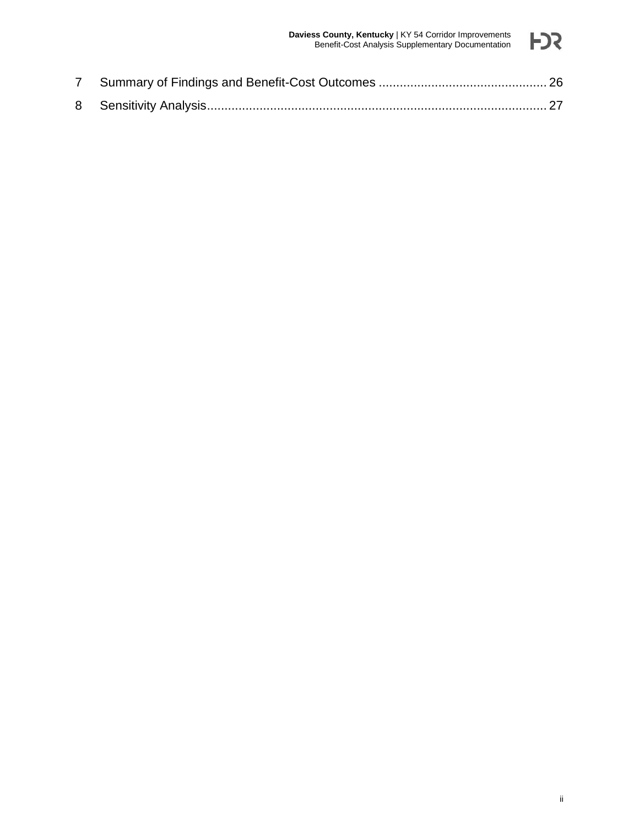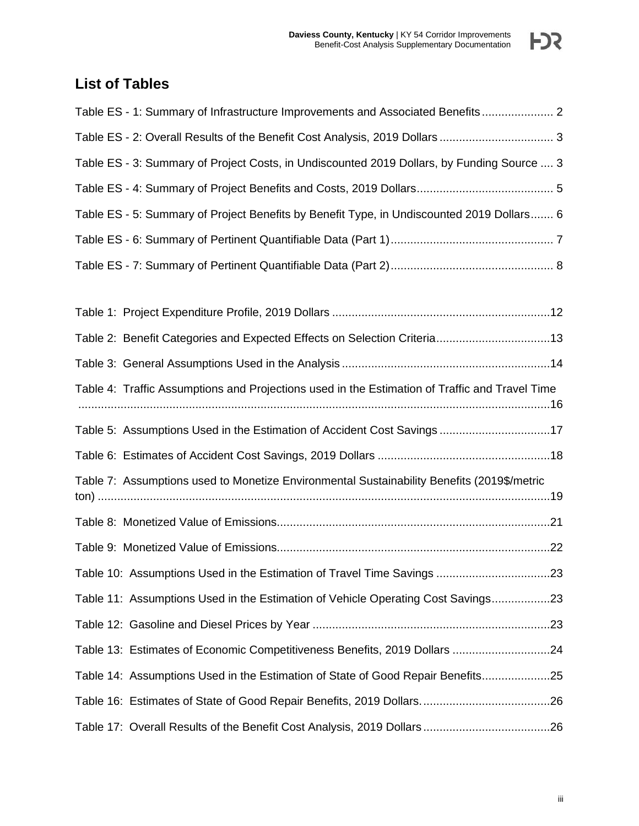

# **List of Tables**

| Table ES - 1: Summary of Infrastructure Improvements and Associated Benefits 2                 |  |
|------------------------------------------------------------------------------------------------|--|
| Table ES - 2: Overall Results of the Benefit Cost Analysis, 2019 Dollars  3                    |  |
| Table ES - 3: Summary of Project Costs, in Undiscounted 2019 Dollars, by Funding Source  3     |  |
|                                                                                                |  |
| Table ES - 5: Summary of Project Benefits by Benefit Type, in Undiscounted 2019 Dollars 6      |  |
|                                                                                                |  |
|                                                                                                |  |
|                                                                                                |  |
| Table 2: Benefit Categories and Expected Effects on Selection Criteria13                       |  |
|                                                                                                |  |
| Table 4: Traffic Assumptions and Projections used in the Estimation of Traffic and Travel Time |  |
| Table 5: Assumptions Used in the Estimation of Accident Cost Savings 17                        |  |
|                                                                                                |  |
| Table 7: Assumptions used to Monetize Environmental Sustainability Benefits (2019\$/metric     |  |
|                                                                                                |  |
|                                                                                                |  |
| Table 10: Assumptions Used in the Estimation of Travel Time Savings 23                         |  |
| Table 11: Assumptions Used in the Estimation of Vehicle Operating Cost Savings23               |  |
|                                                                                                |  |
| Table 13: Estimates of Economic Competitiveness Benefits, 2019 Dollars 24                      |  |
| Table 14: Assumptions Used in the Estimation of State of Good Repair Benefits25                |  |
|                                                                                                |  |
|                                                                                                |  |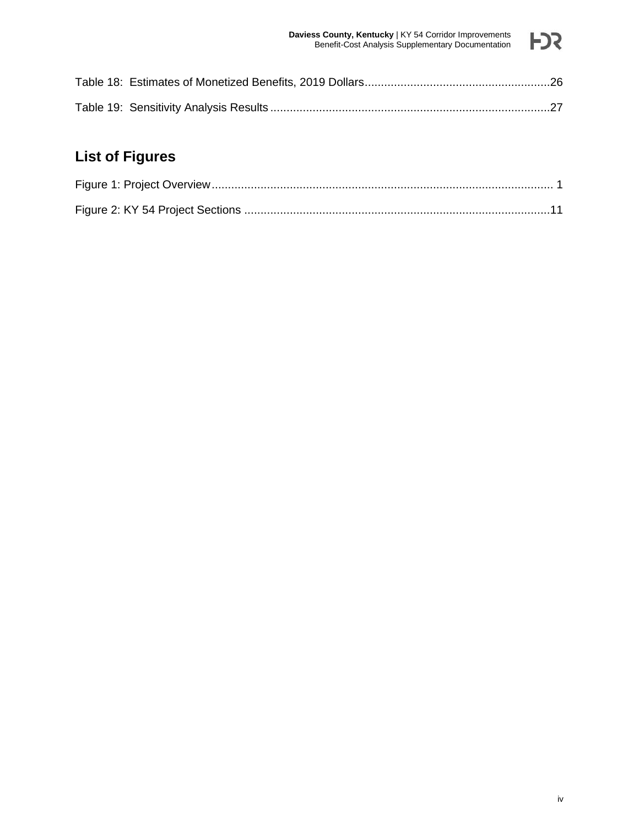# **List of Figures**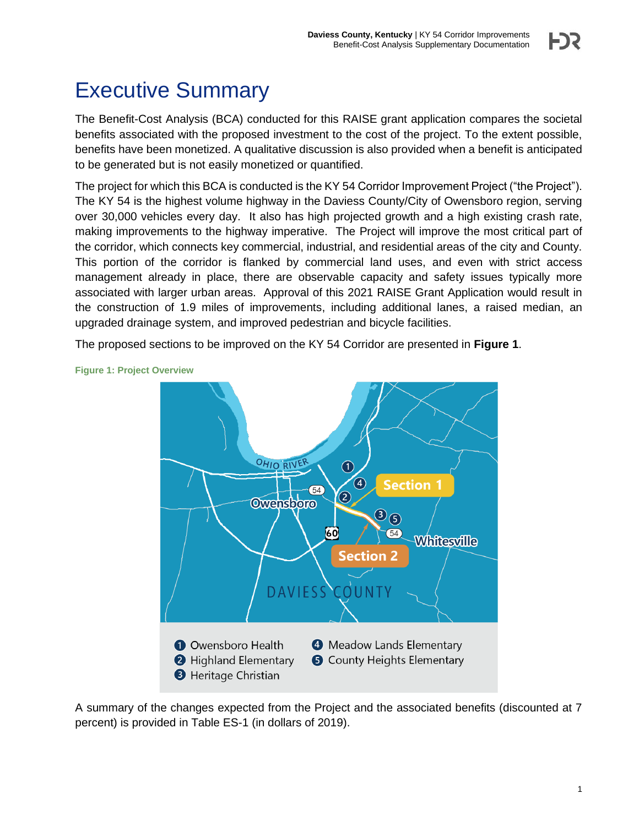# <span id="page-5-0"></span>Executive Summary

The Benefit-Cost Analysis (BCA) conducted for this RAISE grant application compares the societal benefits associated with the proposed investment to the cost of the project. To the extent possible, benefits have been monetized. A qualitative discussion is also provided when a benefit is anticipated to be generated but is not easily monetized or quantified.

The project for which this BCA is conducted is the KY 54 Corridor Improvement Project ("the Project"). The KY 54 is the highest volume highway in the Daviess County/City of Owensboro region, serving over 30,000 vehicles every day. It also has high projected growth and a high existing crash rate, making improvements to the highway imperative. The Project will improve the most critical part of the corridor, which connects key commercial, industrial, and residential areas of the city and County. This portion of the corridor is flanked by commercial land uses, and even with strict access management already in place, there are observable capacity and safety issues typically more associated with larger urban areas. Approval of this 2021 RAISE Grant Application would result in the construction of 1.9 miles of improvements, including additional lanes, a raised median, an upgraded drainage system, and improved pedestrian and bicycle facilities.

The proposed sections to be improved on the KY 54 Corridor are presented in **[Figure 1](#page-5-1)**.



<span id="page-5-1"></span>**Figure 1: Project Overview**

A summary of the changes expected from the Project and the associated benefits (discounted at 7 percent) is provided in Table ES-1 (in dollars of 2019).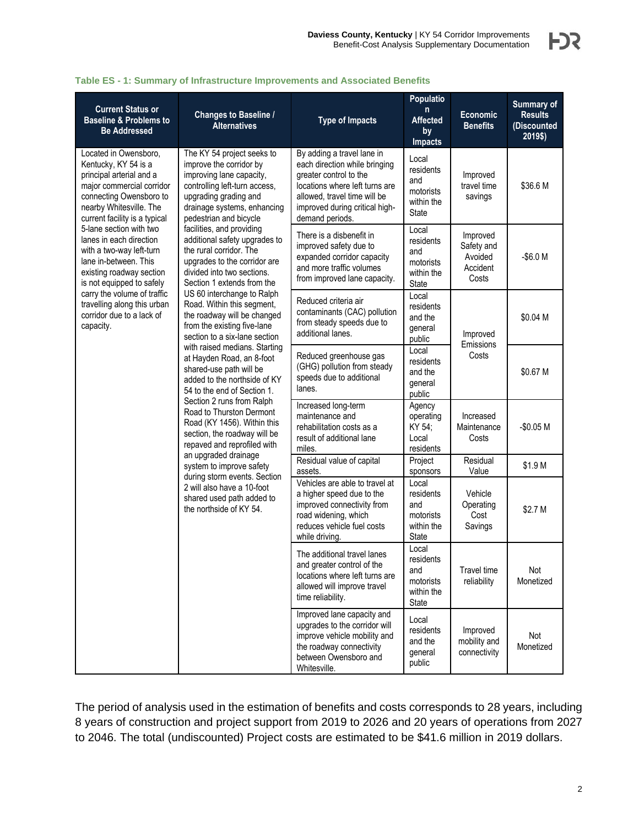| <b>Current Status or</b><br><b>Baseline &amp; Problems to</b><br><b>Be Addressed</b>                                                                                                          | <b>Changes to Baseline /</b><br><b>Alternatives</b>                                                                                                                                                  | <b>Type of Impacts</b>                                                                                                                                                                                       | Populatio<br>n<br><b>Affected</b><br>by<br><b>Impacts</b>            | Economic<br><b>Benefits</b>                            | Summary of<br><b>Results</b><br>(Discounted<br>2019\$)                                                        |
|-----------------------------------------------------------------------------------------------------------------------------------------------------------------------------------------------|------------------------------------------------------------------------------------------------------------------------------------------------------------------------------------------------------|--------------------------------------------------------------------------------------------------------------------------------------------------------------------------------------------------------------|----------------------------------------------------------------------|--------------------------------------------------------|---------------------------------------------------------------------------------------------------------------|
| Located in Owensboro,<br>Kentucky, KY 54 is a<br>principal arterial and a<br>major commercial corridor<br>connecting Owensboro to<br>nearby Whitesville. The<br>current facility is a typical | The KY 54 project seeks to<br>improve the corridor by<br>improving lane capacity,<br>controlling left-turn access,<br>upgrading grading and<br>drainage systems, enhancing<br>pedestrian and bicycle | By adding a travel lane in<br>each direction while bringing<br>greater control to the<br>locations where left turns are<br>allowed, travel time will be<br>improved during critical high-<br>demand periods. | Local<br>residents<br>and<br>motorists<br>within the<br><b>State</b> | Improved<br>travel time<br>savings                     | \$36.6 M                                                                                                      |
| 5-lane section with two<br>lanes in each direction<br>with a two-way left-turn<br>lane in-between. This<br>existing roadway section<br>is not equipped to safely                              | facilities, and providing<br>additional safety upgrades to<br>the rural corridor. The<br>upgrades to the corridor are<br>divided into two sections.<br>Section 1 extends from the                    | There is a disbenefit in<br>improved safety due to<br>expanded corridor capacity<br>and more traffic volumes<br>from improved lane capacity.                                                                 | Local<br>residents<br>and<br>motorists<br>within the<br>State        | Improved<br>Safety and<br>Avoided<br>Accident<br>Costs | $-$6.0 M$<br>\$0.04 M<br>\$0.67 M<br>$-$0.05 M$<br>\$1.9 M<br>\$2.7 M<br>Not<br>Monetized<br>Not<br>Monetized |
| carry the volume of traffic<br>travelling along this urban<br>corridor due to a lack of<br>capacity.                                                                                          | US 60 interchange to Ralph<br>Road. Within this segment,<br>the roadway will be changed<br>from the existing five-lane<br>section to a six-lane section                                              | Reduced criteria air<br>contaminants (CAC) pollution<br>from steady speeds due to<br>additional lanes.                                                                                                       | Local<br>residents<br>and the<br>general<br>public                   | Improved<br>Emissions                                  |                                                                                                               |
|                                                                                                                                                                                               | with raised medians. Starting<br>at Hayden Road, an 8-foot<br>shared-use path will be<br>added to the northside of KY<br>54 to the end of Section 1.                                                 | Reduced greenhouse gas<br>(GHG) pollution from steady<br>speeds due to additional<br>lanes.                                                                                                                  | Local<br>residents<br>and the<br>general<br>public                   | Costs                                                  |                                                                                                               |
|                                                                                                                                                                                               | Section 2 runs from Ralph<br>Road to Thurston Dermont<br>Road (KY 1456). Within this<br>section, the roadway will be<br>repaved and reprofiled with                                                  | Increased long-term<br>maintenance and<br>rehabilitation costs as a<br>result of additional lane<br>miles.                                                                                                   | Agency<br>operating<br>KY 54;<br>Local<br>residents                  | Increased<br>Maintenance<br>Costs                      |                                                                                                               |
|                                                                                                                                                                                               | an upgraded drainage<br>system to improve safety                                                                                                                                                     | Residual value of capital<br>assets.                                                                                                                                                                         | Project<br>sponsors                                                  | Residual<br>Value                                      |                                                                                                               |
|                                                                                                                                                                                               | during storm events. Section<br>2 will also have a 10-foot<br>shared used path added to<br>the northside of KY 54.                                                                                   | Vehicles are able to travel at<br>a higher speed due to the<br>improved connectivity from<br>road widening, which<br>reduces vehicle fuel costs<br>while driving.                                            | Local<br>residents<br>and<br>motorists<br>within the<br>State        | Vehicle<br>Operating<br>Cost<br>Savings                |                                                                                                               |
|                                                                                                                                                                                               |                                                                                                                                                                                                      | The additional travel lanes<br>and greater control of the<br>locations where left turns are<br>allowed will improve travel<br>time reliability.                                                              | Local<br>residents<br>and<br>motorists<br>within the<br>State        | Travel time<br>reliability                             |                                                                                                               |
|                                                                                                                                                                                               |                                                                                                                                                                                                      | Improved lane capacity and<br>upgrades to the corridor will<br>improve vehicle mobility and<br>the roadway connectivity<br>between Owensboro and<br>Whitesville.                                             | Local<br>residents<br>and the<br>general<br>public                   | Improved<br>mobility and<br>connectivity               |                                                                                                               |

#### <span id="page-6-0"></span>**Table ES - 1: Summary of Infrastructure Improvements and Associated Benefits**

The period of analysis used in the estimation of benefits and costs corresponds to 28 years, including 8 years of construction and project support from 2019 to 2026 and 20 years of operations from 2027 to 2046. The total (undiscounted) Project costs are estimated to be \$41.6 million in 2019 dollars.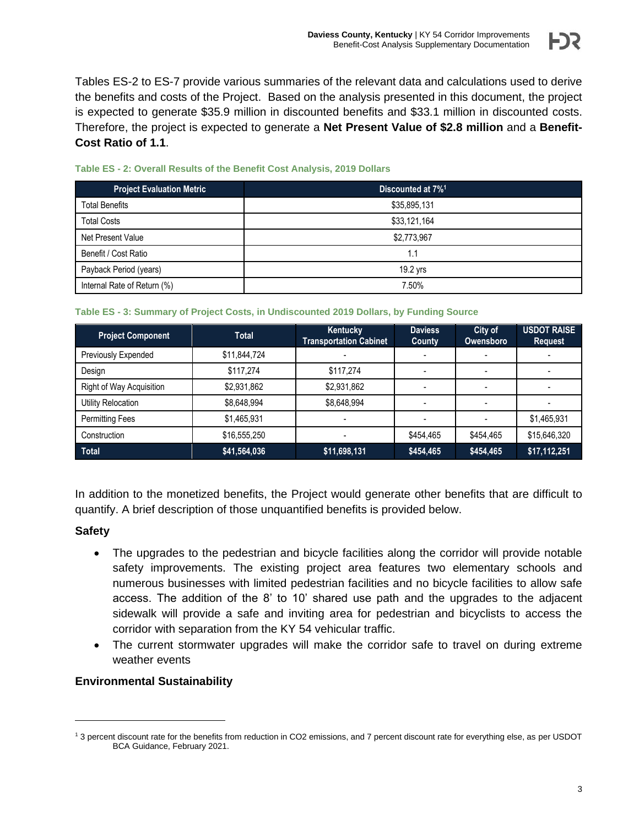Tables ES-2 to ES-7 provide various summaries of the relevant data and calculations used to derive the benefits and costs of the Project. Based on the analysis presented in this document, the project is expected to generate \$35.9 million in discounted benefits and \$33.1 million in discounted costs. Therefore, the project is expected to generate a **Net Present Value of \$2.8 million** and a **Benefit-Cost Ratio of 1.1**.

| <b>Project Evaluation Metric</b> | Discounted at 7% <sup>1</sup> |
|----------------------------------|-------------------------------|
| <b>Total Benefits</b>            | \$35,895,131                  |
| <b>Total Costs</b>               | \$33,121,164                  |
| Net Present Value                | \$2,773,967                   |
| Benefit / Cost Ratio             | l.1                           |
| Payback Period (years)           | 19.2 yrs                      |
| Internal Rate of Return (%)      | 7.50%                         |

#### <span id="page-7-0"></span>**Table ES - 2: Overall Results of the Benefit Cost Analysis, 2019 Dollars**

#### <span id="page-7-1"></span>**Table ES - 3: Summary of Project Costs, in Undiscounted 2019 Dollars, by Funding Source**

| <b>Project Component</b>   | <b>Total</b> | Kentucky<br><b>Transportation Cabinet</b> | <b>Daviess</b><br>County | City of<br><b>Owensboro</b> | <b>USDOT RAISE</b><br><b>Request</b> |
|----------------------------|--------------|-------------------------------------------|--------------------------|-----------------------------|--------------------------------------|
| <b>Previously Expended</b> | \$11,844,724 |                                           |                          |                             |                                      |
| Design                     | \$117.274    | \$117,274                                 |                          |                             |                                      |
| Right of Way Acquisition   | \$2,931,862  | \$2,931,862                               |                          |                             |                                      |
| Utility Relocation         | \$8,648,994  | \$8,648,994                               |                          |                             |                                      |
| <b>Permitting Fees</b>     | \$1,465,931  |                                           |                          |                             | \$1,465,931                          |
| Construction               | \$16,555,250 |                                           | \$454,465                | \$454.465                   | \$15,646,320                         |
| <b>Total</b>               | \$41,564,036 | \$11,698,131                              | \$454,465                | \$454,465                   | \$17,112,251                         |

In addition to the monetized benefits, the Project would generate other benefits that are difficult to quantify. A brief description of those unquantified benefits is provided below.

### **Safety**

- The upgrades to the pedestrian and bicycle facilities along the corridor will provide notable safety improvements. The existing project area features two elementary schools and numerous businesses with limited pedestrian facilities and no bicycle facilities to allow safe access. The addition of the 8' to 10' shared use path and the upgrades to the adjacent sidewalk will provide a safe and inviting area for pedestrian and bicyclists to access the corridor with separation from the KY 54 vehicular traffic.
- The current stormwater upgrades will make the corridor safe to travel on during extreme weather events

### **Environmental Sustainability**

<sup>1</sup> 3 percent discount rate for the benefits from reduction in CO2 emissions, and 7 percent discount rate for everything else, as per USDOT BCA Guidance, February 2021.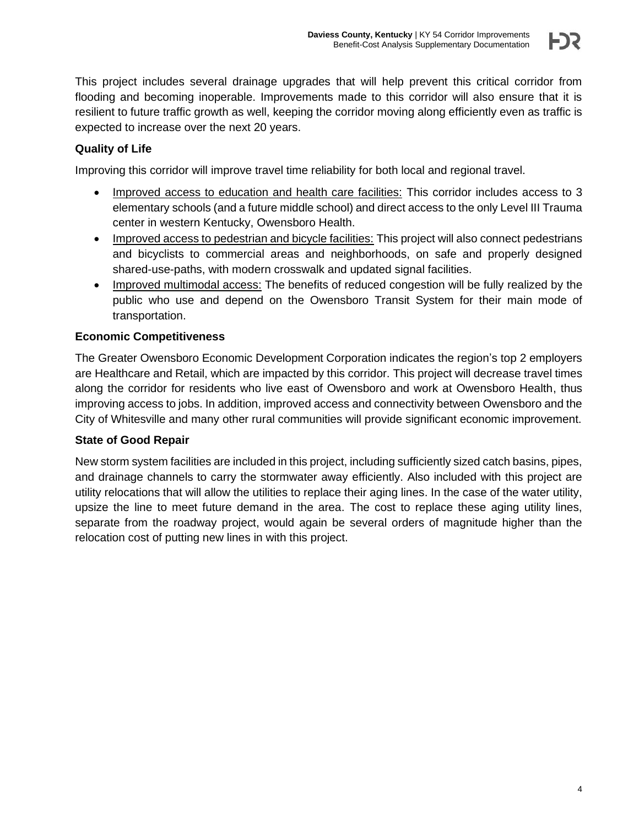## **Quality of Life**

Improving this corridor will improve travel time reliability for both local and regional travel.

- Improved access to education and health care facilities: This corridor includes access to 3 elementary schools (and a future middle school) and direct access to the only Level III Trauma center in western Kentucky, Owensboro Health.
- Improved access to pedestrian and bicycle facilities: This project will also connect pedestrians and bicyclists to commercial areas and neighborhoods, on safe and properly designed shared-use-paths, with modern crosswalk and updated signal facilities.
- Improved multimodal access: The benefits of reduced congestion will be fully realized by the public who use and depend on the Owensboro Transit System for their main mode of transportation.

## **Economic Competitiveness**

The Greater Owensboro Economic Development Corporation indicates the region's top 2 employers are Healthcare and Retail, which are impacted by this corridor. This project will decrease travel times along the corridor for residents who live east of Owensboro and work at Owensboro Health, thus improving access to jobs. In addition, improved access and connectivity between Owensboro and the City of Whitesville and many other rural communities will provide significant economic improvement.

### **State of Good Repair**

New storm system facilities are included in this project, including sufficiently sized catch basins, pipes, and drainage channels to carry the stormwater away efficiently. Also included with this project are utility relocations that will allow the utilities to replace their aging lines. In the case of the water utility, upsize the line to meet future demand in the area. The cost to replace these aging utility lines, separate from the roadway project, would again be several orders of magnitude higher than the relocation cost of putting new lines in with this project.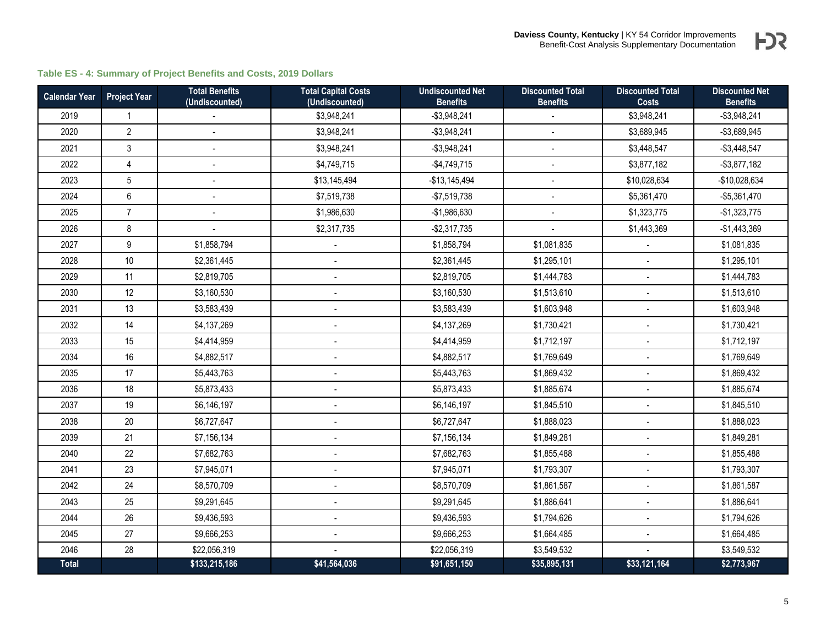### **Table ES - 4: Summary of Project Benefits and Costs, 2019 Dollars**

<span id="page-9-0"></span>

| <b>Calendar Year</b> | Project Year    | <b>Total Benefits</b><br>(Undiscounted) | <b>Total Capital Costs</b><br>(Undiscounted) | <b>Undiscounted Net</b><br><b>Benefits</b> | <b>Discounted Total</b><br><b>Benefits</b> | <b>Discounted Total</b><br><b>Costs</b> | <b>Discounted Net</b><br><b>Benefits</b> |
|----------------------|-----------------|-----------------------------------------|----------------------------------------------|--------------------------------------------|--------------------------------------------|-----------------------------------------|------------------------------------------|
| 2019                 | 1               |                                         | \$3,948,241                                  | $-$ \$3,948,241                            |                                            | \$3,948,241                             | $-$ \$3,948,241                          |
| 2020                 | $\overline{2}$  |                                         | \$3,948,241                                  | $-$3,948,241$                              |                                            | \$3,689,945                             | $-$ \$3,689,945                          |
| 2021                 | $\mathsf 3$     |                                         | \$3,948,241                                  | $-$ \$3,948,241                            | $\overline{a}$                             | \$3,448,547                             | $-$ \$3,448,547                          |
| 2022                 | $\overline{4}$  |                                         | \$4,749,715                                  | $-$4,749,715$                              | $\overline{a}$                             | \$3,877,182                             | $-$ \$3,877,182                          |
| 2023                 | $5\phantom{.0}$ |                                         | \$13,145,494                                 | $-$13,145,494$                             |                                            | \$10,028,634                            | -\$10,028,634                            |
| 2024                 | 6               |                                         | \$7,519,738                                  | $-$7,519,738$                              | $\overline{a}$                             | \$5,361,470                             | $-$ \$5,361,470                          |
| 2025                 | $\overline{7}$  |                                         | \$1,986,630                                  | $-$1,986,630$                              | $\overline{a}$                             | \$1,323,775                             | $-$1,323,775$                            |
| 2026                 | 8               |                                         | \$2,317,735                                  | $-$2,317,735$                              |                                            | \$1,443,369                             | $-$1,443,369$                            |
| 2027                 | 9               | \$1,858,794                             |                                              | \$1,858,794                                | \$1,081,835                                |                                         | \$1,081,835                              |
| 2028                 | 10              | \$2,361,445                             |                                              | \$2,361,445                                | \$1,295,101                                |                                         | \$1,295,101                              |
| 2029                 | 11              | \$2,819,705                             |                                              | \$2,819,705                                | \$1,444,783                                |                                         | \$1,444,783                              |
| 2030                 | 12              | \$3,160,530                             |                                              | \$3,160,530                                | \$1,513,610                                |                                         | \$1,513,610                              |
| 2031                 | 13              | \$3,583,439                             |                                              | \$3,583,439                                | \$1,603,948                                | $\overline{\phantom{a}}$                | \$1,603,948                              |
| 2032                 | 14              | \$4,137,269                             |                                              | \$4,137,269                                | \$1,730,421                                |                                         | \$1,730,421                              |
| 2033                 | 15              | \$4,414,959                             |                                              | \$4,414,959                                | \$1,712,197                                |                                         | \$1,712,197                              |
| 2034                 | 16              | \$4,882,517                             |                                              | \$4,882,517                                | \$1,769,649                                | $\overline{a}$                          | \$1,769,649                              |
| 2035                 | 17              | \$5,443,763                             |                                              | \$5,443,763                                | \$1,869,432                                | $\blacksquare$                          | \$1,869,432                              |
| 2036                 | 18              | \$5,873,433                             |                                              | \$5,873,433                                | \$1,885,674                                | $\sim$                                  | \$1,885,674                              |
| 2037                 | 19              | \$6,146,197                             |                                              | \$6,146,197                                | \$1,845,510                                |                                         | \$1,845,510                              |
| 2038                 | 20              | \$6,727,647                             |                                              | \$6,727,647                                | \$1,888,023                                | $\blacksquare$                          | \$1,888,023                              |
| 2039                 | 21              | \$7,156,134                             |                                              | \$7,156,134                                | \$1,849,281                                |                                         | \$1,849,281                              |
| 2040                 | 22              | \$7,682,763                             |                                              | \$7,682,763                                | \$1,855,488                                |                                         | \$1,855,488                              |
| 2041                 | 23              | \$7,945,071                             |                                              | \$7,945,071                                | \$1,793,307                                |                                         | \$1,793,307                              |
| 2042                 | 24              | \$8,570,709                             |                                              | \$8,570,709                                | \$1,861,587                                |                                         | \$1,861,587                              |
| 2043                 | 25              | \$9,291,645                             |                                              | \$9,291,645                                | \$1,886,641                                | $\sim$                                  | \$1,886,641                              |
| 2044                 | 26              | \$9,436,593                             |                                              | \$9,436,593                                | \$1,794,626                                | $\sim$                                  | \$1,794,626                              |
| 2045                 | 27              | \$9,666,253                             |                                              | \$9,666,253                                | \$1,664,485                                | $\sim$                                  | \$1,664,485                              |
| 2046                 | 28              | \$22,056,319                            |                                              | \$22,056,319                               | \$3,549,532                                |                                         | \$3,549,532                              |
| <b>Total</b>         |                 | \$133,215,186                           | \$41,564,036                                 | \$91,651,150                               | \$35,895,131                               | \$33,121,164                            | \$2,773,967                              |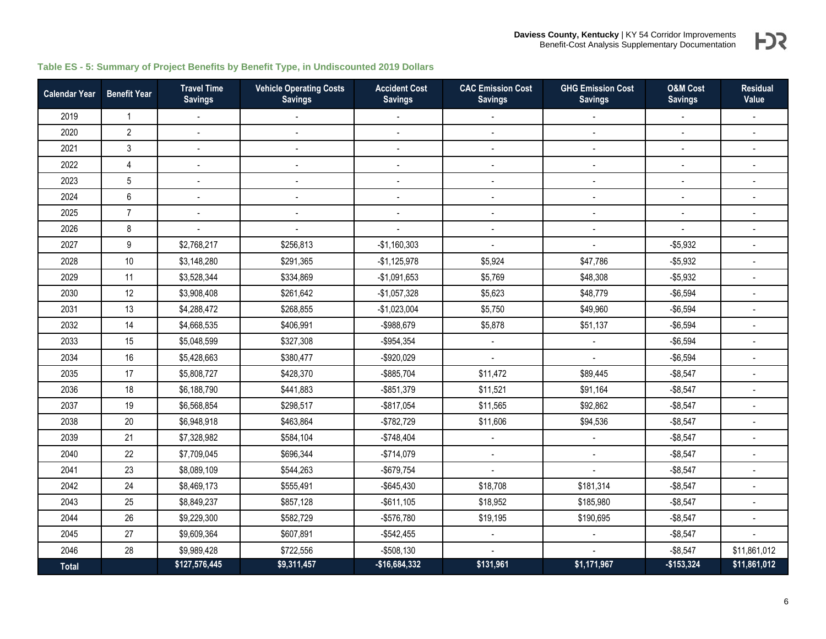## **Table ES - 5: Summary of Project Benefits by Benefit Type, in Undiscounted 2019 Dollars**

<span id="page-10-0"></span>

| <b>Calendar Year</b> | <b>Benefit Year</b> | <b>Travel Time</b><br><b>Savings</b> | <b>Vehicle Operating Costs</b><br><b>Savings</b> | <b>Accident Cost</b><br><b>Savings</b> | <b>CAC Emission Cost</b><br><b>Savings</b> | <b>GHG Emission Cost</b><br><b>Savings</b> | <b>O&amp;M Cost</b><br><b>Savings</b> | <b>Residual</b><br>Value |
|----------------------|---------------------|--------------------------------------|--------------------------------------------------|----------------------------------------|--------------------------------------------|--------------------------------------------|---------------------------------------|--------------------------|
| 2019                 | $\mathbf{1}$        |                                      |                                                  |                                        |                                            |                                            |                                       | $\overline{a}$           |
| 2020                 | $\overline{2}$      | $\blacksquare$                       | ÷,                                               | $\blacksquare$                         | $\overline{a}$                             | $\blacksquare$                             | $\blacksquare$                        | $\overline{\phantom{a}}$ |
| 2021                 | 3                   | $\overline{a}$                       |                                                  |                                        | $\overline{a}$                             | $\sim$                                     |                                       | $\overline{\phantom{a}}$ |
| 2022                 | 4                   | $\overline{a}$                       |                                                  |                                        | $\overline{a}$                             | ÷,                                         |                                       |                          |
| 2023                 | 5                   | $\sim$                               |                                                  | $\overline{a}$                         | $\overline{a}$                             | $\overline{a}$                             | $\sim$                                | $\overline{\phantom{a}}$ |
| 2024                 | 6                   | $\blacksquare$                       |                                                  | $\overline{a}$                         | $\overline{a}$                             | $\overline{\phantom{a}}$                   | $\sim$                                |                          |
| 2025                 | $\overline{7}$      | $\blacksquare$                       | $\overline{a}$                                   | $\blacksquare$                         | $\overline{a}$                             | $\blacksquare$                             | $\blacksquare$                        | $\blacksquare$           |
| 2026                 | 8                   |                                      |                                                  |                                        |                                            |                                            | $\sim$                                |                          |
| 2027                 | 9                   | \$2,768,217                          | \$256,813                                        | $-$1,160,303$                          | $\overline{a}$                             | $\blacksquare$                             | $-$5,932$                             | $\blacksquare$           |
| 2028                 | $10$                | \$3,148,280                          | \$291,365                                        | $-$1,125,978$                          | \$5,924                                    | \$47,786                                   | $-$5,932$                             |                          |
| 2029                 | 11                  | \$3,528,344                          | \$334,869                                        | $-$1,091,653$                          | \$5,769                                    | \$48,308                                   | $-$5,932$                             | $\blacksquare$           |
| 2030                 | 12                  | \$3,908,408                          | \$261,642                                        | $-$1,057,328$                          | \$5,623                                    | \$48,779                                   | $-$6,594$                             | $\overline{a}$           |
| 2031                 | 13                  | \$4,288,472                          | \$268,855                                        | $-$1,023,004$                          | \$5,750                                    | \$49,960                                   | $-$6,594$                             |                          |
| 2032                 | 14                  | \$4,668,535                          | \$406,991                                        | -\$988,679                             | \$5,878                                    | \$51,137                                   | $-$6,594$                             | $\overline{\phantom{a}}$ |
| 2033                 | 15                  | \$5,048,599                          | \$327,308                                        | $-$ \$954,354                          | $\frac{1}{2}$                              | $\sim$                                     | $-$6,594$                             |                          |
| 2034                 | 16                  | \$5,428,663                          | \$380,477                                        | -\$920,029                             | ÷,                                         | $\blacksquare$                             | $-$6,594$                             | $\overline{a}$           |
| 2035                 | 17                  | \$5,808,727                          | \$428,370                                        | $-$ \$885,704                          | \$11,472                                   | \$89,445                                   | $-$8,547$                             | $\overline{a}$           |
| 2036                 | 18                  | \$6,188,790                          | \$441,883                                        | $-$ \$851,379                          | \$11,521                                   | \$91,164                                   | $-$ \$8,547                           |                          |
| 2037                 | 19                  | \$6,568,854                          | \$298,517                                        | $-$ \$817,054                          | \$11,565                                   | \$92,862                                   | $-$8,547$                             |                          |
| 2038                 | 20                  | \$6,948,918                          | \$463,864                                        | $-$782,729$                            | \$11,606                                   | \$94,536                                   | $-$8,547$                             | $\overline{a}$           |
| 2039                 | 21                  | \$7,328,982                          | \$584,104                                        | $-$748,404$                            | $\overline{a}$                             | $\overline{a}$                             | $-$8,547$                             | $\overline{a}$           |
| 2040                 | 22                  | \$7,709,045                          | \$696,344                                        | $-$714,079$                            | $\overline{a}$                             | $\blacksquare$                             | $-$ \$8,547                           | $\overline{a}$           |
| 2041                 | 23                  | \$8,089,109                          | \$544,263                                        | -\$679,754                             |                                            |                                            | $-$8,547$                             |                          |
| 2042                 | 24                  | \$8,469,173                          | \$555,491                                        | $-$ \$645,430                          | \$18,708                                   | \$181,314                                  | $-$8,547$                             | $\overline{a}$           |
| 2043                 | 25                  | \$8,849,237                          | \$857,128                                        | $-$ \$611,105                          | \$18,952                                   | \$185,980                                  | $-$8,547$                             |                          |
| 2044                 | 26                  | \$9,229,300                          | \$582,729                                        | $-$576,780$                            | \$19,195                                   | \$190,695                                  | $-$8,547$                             | $\overline{\phantom{a}}$ |
| 2045                 | 27                  | \$9,609,364                          | \$607,891                                        | $-$542,455$                            | ÷.                                         |                                            | $-$8,547$                             |                          |
| 2046                 | 28                  | \$9,989,428                          | \$722,556                                        | $-$508,130$                            |                                            |                                            | $-$ \$8,547                           | \$11,861,012             |
| <b>Total</b>         |                     | \$127,576,445                        | \$9,311,457                                      | $-$16,684,332$                         | \$131,961                                  | \$1,171,967                                | $-$153,324$                           | \$11,861,012             |

**FDS**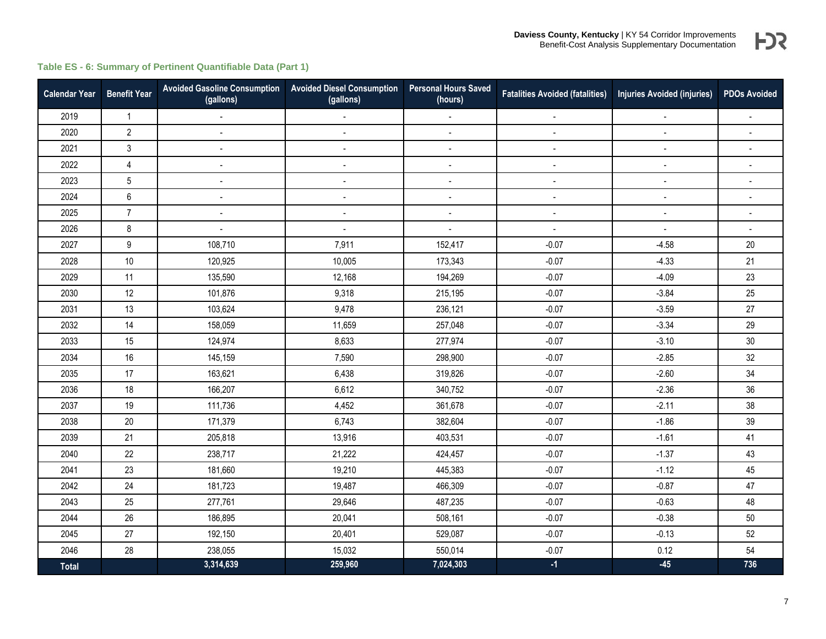

#### **Table ES - 6: Summary of Pertinent Quantifiable Data (Part 1)**

<span id="page-11-0"></span>

| <b>Calendar Year</b> | <b>Benefit Year</b> | <b>Avoided Gasoline Consumption</b><br>(gallons) | <b>Avoided Diesel Consumption</b><br>(gallons) | <b>Personal Hours Saved</b><br>(hours) | <b>Fatalities Avoided (fatalities)</b> | Injuries Avoided (injuries) | <b>PDOs Avoided</b> |
|----------------------|---------------------|--------------------------------------------------|------------------------------------------------|----------------------------------------|----------------------------------------|-----------------------------|---------------------|
| 2019                 | $\mathbf{1}$        |                                                  |                                                |                                        |                                        |                             |                     |
| 2020                 | $\overline{2}$      |                                                  |                                                | $\sim$                                 |                                        |                             |                     |
| 2021                 | $\mathfrak{Z}$      | $\overline{a}$                                   | $\sim$                                         | $\sim$                                 | $\overline{a}$                         | $\sim$                      |                     |
| 2022                 | $\overline{4}$      | $\overline{a}$                                   | $\overline{a}$                                 | $\overline{a}$                         |                                        | $\overline{a}$              |                     |
| 2023                 | $\overline{5}$      | $\blacksquare$                                   | $\blacksquare$                                 | $\sim$                                 | $\blacksquare$                         | $\blacksquare$              | $\sim$              |
| 2024                 | 6                   | $\blacksquare$                                   | $\overline{\phantom{a}}$                       | $\blacksquare$                         | $\blacksquare$                         | $\overline{\phantom{a}}$    | $\blacksquare$      |
| 2025                 | $\overline{7}$      | $\overline{\phantom{a}}$                         | $\overline{\phantom{a}}$                       | $\blacksquare$                         | $\overline{\phantom{a}}$               | $\overline{\phantom{a}}$    |                     |
| 2026                 | 8                   | $\blacksquare$                                   | $\overline{\phantom{a}}$                       | $\blacksquare$                         |                                        | $\overline{\phantom{a}}$    |                     |
| 2027                 | $\boldsymbol{9}$    | 108,710                                          | 7,911                                          | 152,417                                | $-0.07$                                | $-4.58$                     | $20\,$              |
| 2028                 | 10                  | 120,925                                          | 10,005                                         | 173,343                                | $-0.07$                                | $-4.33$                     | 21                  |
| 2029                 | 11                  | 135,590                                          | 12,168                                         | 194,269                                | $-0.07$                                | $-4.09$                     | 23                  |
| 2030                 | 12                  | 101,876                                          | 9,318                                          | 215,195                                | $-0.07$                                | $-3.84$                     | 25                  |
| 2031                 | 13                  | 103,624                                          | 9,478                                          | 236,121                                | $-0.07$                                | $-3.59$                     | 27                  |
| 2032                 | 14                  | 158,059                                          | 11,659                                         | 257,048                                | $-0.07$                                | $-3.34$                     | 29                  |
| 2033                 | 15                  | 124,974                                          | 8,633                                          | 277,974                                | $-0.07$                                | $-3.10$                     | 30                  |
| 2034                 | $16\,$              | 145,159                                          | 7,590                                          | 298,900                                | $-0.07$                                | $-2.85$                     | 32                  |
| 2035                 | 17                  | 163,621                                          | 6,438                                          | 319,826                                | $-0.07$                                | $-2.60$                     | 34                  |
| 2036                 | 18                  | 166,207                                          | 6,612                                          | 340,752                                | $-0.07$                                | $-2.36$                     | 36                  |
| 2037                 | 19                  | 111,736                                          | 4,452                                          | 361,678                                | $-0.07$                                | $-2.11$                     | 38                  |
| 2038                 | 20                  | 171,379                                          | 6,743                                          | 382,604                                | $-0.07$                                | $-1.86$                     | 39                  |
| 2039                 | 21                  | 205,818                                          | 13,916                                         | 403,531                                | $-0.07$                                | $-1.61$                     | 41                  |
| 2040                 | 22                  | 238,717                                          | 21,222                                         | 424,457                                | $-0.07$                                | $-1.37$                     | 43                  |
| 2041                 | 23                  | 181,660                                          | 19,210                                         | 445,383                                | $-0.07$                                | $-1.12$                     | 45                  |
| 2042                 | 24                  | 181,723                                          | 19,487                                         | 466,309                                | $-0.07$                                | $-0.87$                     | 47                  |
| 2043                 | 25                  | 277,761                                          | 29,646                                         | 487,235                                | $-0.07$                                | $-0.63$                     | 48                  |
| 2044                 | 26                  | 186,895                                          | 20,041                                         | 508,161                                | $-0.07$                                | $-0.38$                     | 50                  |
| 2045                 | 27                  | 192,150                                          | 20,401                                         | 529,087                                | $-0.07$                                | $-0.13$                     | 52                  |
| 2046                 | 28                  | 238,055                                          | 15,032                                         | 550,014                                | $-0.07$                                | 0.12                        | 54                  |
| <b>Total</b>         |                     | 3,314,639                                        | 259,960                                        | 7,024,303                              | $-1$                                   | $-45$                       | 736                 |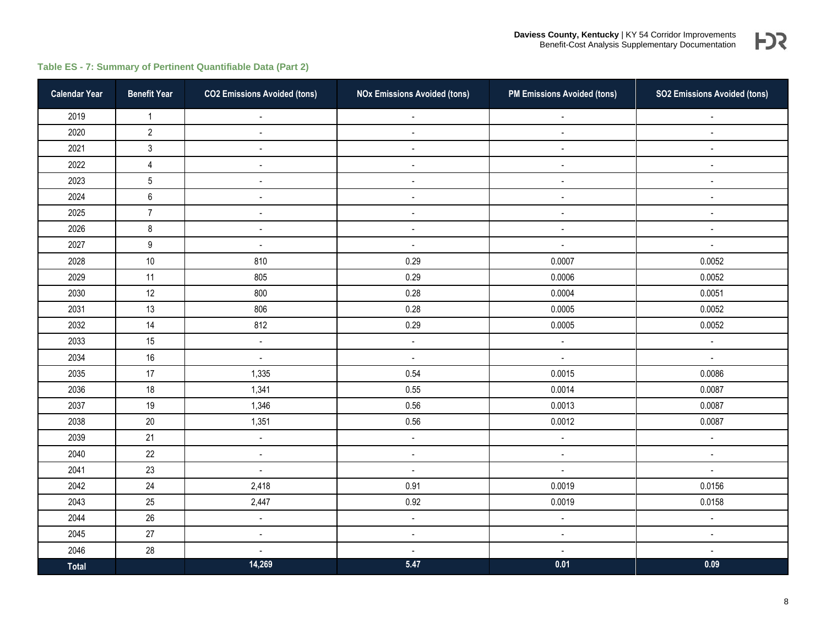

#### **Table ES - 7: Summary of Pertinent Quantifiable Data (Part 2)**

<span id="page-12-0"></span>

| <b>Calendar Year</b> | <b>Benefit Year</b> | <b>CO2 Emissions Avoided (tons)</b> | <b>NOx Emissions Avoided (tons)</b> | <b>PM Emissions Avoided (tons)</b> | <b>SO2 Emissions Avoided (tons)</b> |
|----------------------|---------------------|-------------------------------------|-------------------------------------|------------------------------------|-------------------------------------|
| 2019                 | $\mathbf{1}$        | $\blacksquare$                      | $\blacksquare$                      | $\blacksquare$                     | $\overline{\phantom{a}}$            |
| 2020                 | $\overline{2}$      | $\blacksquare$                      | $\mathbb{Z}$                        | $\mathbb{Z}^2$                     | $\overline{\phantom{a}}$            |
| 2021                 | $\mathsf 3$         | $\blacksquare$                      | $\overline{a}$                      | $\blacksquare$                     | $\blacksquare$                      |
| 2022                 | $\overline{4}$      | $\blacksquare$                      | $\overline{\phantom{a}}$            | $\blacksquare$                     | $\overline{\phantom{a}}$            |
| 2023                 | $\mathbf 5$         | $\blacksquare$                      | $\blacksquare$                      | $\blacksquare$                     | $\blacksquare$                      |
| 2024                 | $\,6\,$             | $\overline{\phantom{a}}$            | $\mathbb{L}^2$                      | $\overline{\phantom{a}}$           | $\blacksquare$                      |
| 2025                 | $\overline{7}$      | $\blacksquare$                      | $\blacksquare$                      | $\blacksquare$                     | $\overline{\phantom{a}}$            |
| 2026                 | 8                   | $\blacksquare$                      | $\blacksquare$                      | $\blacksquare$                     | $\blacksquare$                      |
| 2027                 | $\boldsymbol{9}$    | $\mathbb{Z}^2$                      | $\mathbb{Z}$                        | $\mathcal{L}$                      | $\overline{a}$                      |
| 2028                 | 10                  | 810                                 | 0.29                                | 0.0007                             | 0.0052                              |
| 2029                 | 11                  | 805                                 | 0.29                                | 0.0006                             | 0.0052                              |
| 2030                 | 12                  | 800                                 | 0.28                                | 0.0004                             | 0.0051                              |
| 2031                 | 13                  | 806                                 | 0.28                                | 0.0005                             | 0.0052                              |
| 2032                 | 14                  | 812                                 | 0.29                                | 0.0005                             | 0.0052                              |
| 2033                 | 15                  | $\mathbb{L}$                        | $\mathbb{Z}^2$                      | $\omega$                           | $\omega$                            |
| 2034                 | 16                  | $\blacksquare$                      | $\overline{\phantom{a}}$            | $\blacksquare$                     | $\frac{1}{2}$                       |
| 2035                 | 17                  | 1,335                               | 0.54                                | 0.0015                             | 0.0086                              |
| 2036                 | 18                  | 1,341                               | $0.55\,$                            | 0.0014                             | 0.0087                              |
| 2037                 | 19                  | 1,346                               | 0.56                                | 0.0013                             | 0.0087                              |
| 2038                 | $20\,$              | 1,351                               | 0.56                                | 0.0012                             | 0.0087                              |
| 2039                 | 21                  | $\blacksquare$                      | $\blacksquare$                      | $\blacksquare$                     | $\blacksquare$                      |
| 2040                 | 22                  | $\overline{\phantom{a}}$            | $\overline{\phantom{a}}$            | $\blacksquare$                     | $\overline{\phantom{a}}$            |
| 2041                 | 23                  | $\blacksquare$                      | $\blacksquare$                      | $\blacksquare$                     | $\blacksquare$                      |
| 2042                 | 24                  | 2,418                               | 0.91                                | 0.0019                             | 0.0156                              |
| 2043                 | 25                  | 2,447                               | 0.92                                | 0.0019                             | 0.0158                              |
| 2044                 | 26                  | $\mathbb{Z}^2$                      | $\blacksquare$                      | $\mathbb{Z}^2$                     | $\blacksquare$                      |
| 2045                 | 27                  | $\blacksquare$                      | $\overline{\phantom{a}}$            | $\mathbb{Z}^2$                     | $\blacksquare$                      |
| 2046                 | $28\,$              | $\blacksquare$                      | $\overline{\phantom{a}}$            | $\blacksquare$                     | $\overline{\phantom{a}}$            |
| <b>Total</b>         |                     | 14,269                              | 5.47                                | 0.01                               | 0.09                                |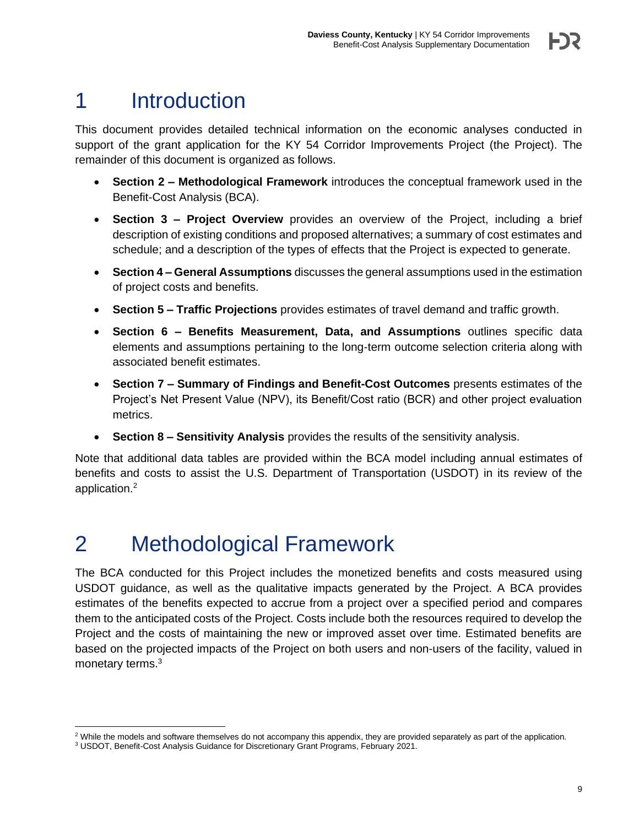# <span id="page-13-0"></span>1 Introduction

This document provides detailed technical information on the economic analyses conducted in support of the grant application for the KY 54 Corridor Improvements Project (the Project). The remainder of this document is organized as follows.

- **Section [2](#page-13-1) – [Methodological Framework](#page-13-1)** introduces the conceptual framework used in the Benefit-Cost Analysis (BCA).
- **Section [3](#page-14-0) – [Project Overview](#page-14-0)** provides an overview of the Project, including a brief description of existing conditions and proposed alternatives; a summary of cost estimates and schedule; and a description of the types of effects that the Project is expected to generate.
- **Section [4](#page-17-1) – [General Assumptions](#page-17-1)** discusses the general assumptions used in the estimation of project costs and benefits.
- **Section [5](#page-18-0) – Traffic [Projections](#page-18-0)** provides estimates of travel demand and traffic growth.
- **Section [6](#page-20-0) – [Benefits Measurement, Data,](#page-20-0) and Assumptions** outlines specific data elements and assumptions pertaining to the long-term outcome selection criteria along with associated benefit estimates.
- **Section [7](#page-30-0) – [Summary of Findings and Benefit-Cost Outcomes](#page-30-0)** presents estimates of the Project's Net Present Value (NPV), its Benefit/Cost ratio (BCR) and other project evaluation metrics.
- **Section [8](#page-31-0) – [Sensitivity](#page-31-0) Analysis** provides the results of the sensitivity analysis.

Note that additional data tables are provided within the BCA model including annual estimates of benefits and costs to assist the U.S. Department of Transportation (USDOT) in its review of the application. 2

# <span id="page-13-1"></span>2 Methodological Framework

The BCA conducted for this Project includes the monetized benefits and costs measured using USDOT guidance, as well as the qualitative impacts generated by the Project. A BCA provides estimates of the benefits expected to accrue from a project over a specified period and compares them to the anticipated costs of the Project. Costs include both the resources required to develop the Project and the costs of maintaining the new or improved asset over time. Estimated benefits are based on the projected impacts of the Project on both users and non-users of the facility, valued in monetary terms.<sup>3</sup>

<sup>&</sup>lt;sup>2</sup> While the models and software themselves do not accompany this appendix, they are provided separately as part of the application.

<sup>3</sup> USDOT, Benefit-Cost Analysis Guidance for Discretionary Grant Programs, February 2021.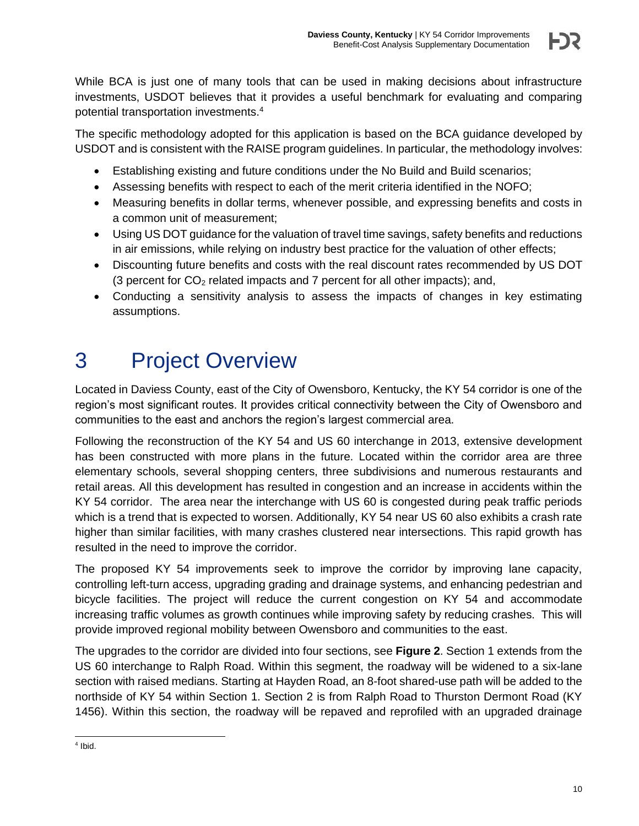While BCA is just one of many tools that can be used in making decisions about infrastructure investments, USDOT believes that it provides a useful benchmark for evaluating and comparing potential transportation investments. 4

The specific methodology adopted for this application is based on the BCA guidance developed by USDOT and is consistent with the RAISE program guidelines. In particular, the methodology involves:

- Establishing existing and future conditions under the No Build and Build scenarios;
- Assessing benefits with respect to each of the merit criteria identified in the NOFO;
- Measuring benefits in dollar terms, whenever possible, and expressing benefits and costs in a common unit of measurement;
- Using US DOT guidance for the valuation of travel time savings, safety benefits and reductions in air emissions, while relying on industry best practice for the valuation of other effects;
- Discounting future benefits and costs with the real discount rates recommended by US DOT (3 percent for  $CO<sub>2</sub>$  related impacts and 7 percent for all other impacts); and,
- Conducting a sensitivity analysis to assess the impacts of changes in key estimating assumptions.

# <span id="page-14-0"></span>3 Project Overview

Located in Daviess County, east of the City of Owensboro, Kentucky, the KY 54 corridor is one of the region's most significant routes. It provides critical connectivity between the City of Owensboro and communities to the east and anchors the region's largest commercial area.

Following the reconstruction of the KY 54 and US 60 interchange in 2013, extensive development has been constructed with more plans in the future. Located within the corridor area are three elementary schools, several shopping centers, three subdivisions and numerous restaurants and retail areas. All this development has resulted in congestion and an increase in accidents within the KY 54 corridor. The area near the interchange with US 60 is congested during peak traffic periods which is a trend that is expected to worsen. Additionally, KY 54 near US 60 also exhibits a crash rate higher than similar facilities, with many crashes clustered near intersections. This rapid growth has resulted in the need to improve the corridor.

The proposed KY 54 improvements seek to improve the corridor by improving lane capacity, controlling left-turn access, upgrading grading and drainage systems, and enhancing pedestrian and bicycle facilities. The project will reduce the current congestion on KY 54 and accommodate increasing traffic volumes as growth continues while improving safety by reducing crashes. This will provide improved regional mobility between Owensboro and communities to the east.

The upgrades to the corridor are divided into four sections, see **[Figure 2](#page-15-1)**. Section 1 extends from the US 60 interchange to Ralph Road. Within this segment, the roadway will be widened to a six-lane section with raised medians. Starting at Hayden Road, an 8-foot shared-use path will be added to the northside of KY 54 within Section 1. Section 2 is from Ralph Road to Thurston Dermont Road (KY 1456). Within this section, the roadway will be repaved and reprofiled with an upgraded drainage

<sup>4</sup> Ibid.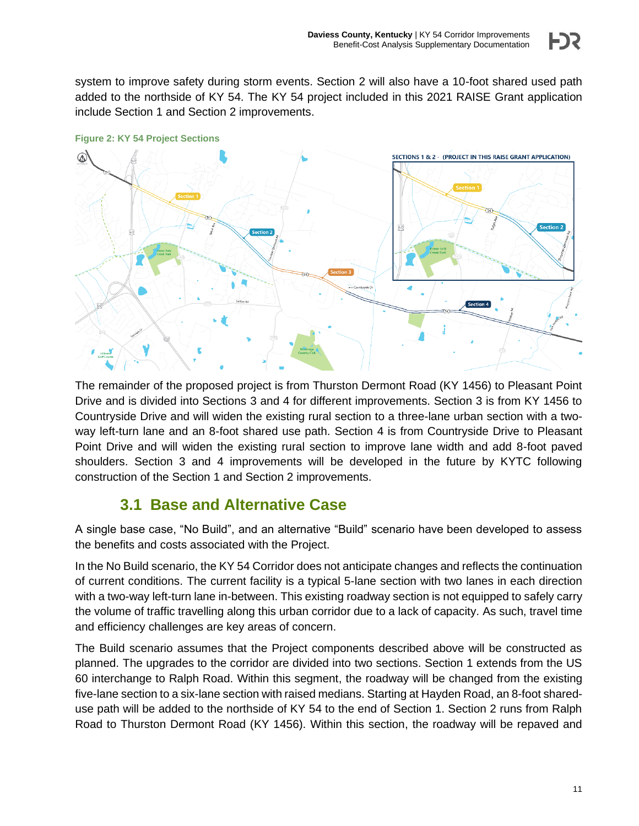system to improve safety during storm events. Section 2 will also have a 10-foot shared used path added to the northside of KY 54. The KY 54 project included in this 2021 RAISE Grant application include Section 1 and Section 2 improvements.



<span id="page-15-1"></span>**Figure 2: KY 54 Project Sections**

The remainder of the proposed project is from Thurston Dermont Road (KY 1456) to Pleasant Point Drive and is divided into Sections 3 and 4 for different improvements. Section 3 is from KY 1456 to Countryside Drive and will widen the existing rural section to a three-lane urban section with a twoway left-turn lane and an 8-foot shared use path. Section 4 is from Countryside Drive to Pleasant Point Drive and will widen the existing rural section to improve lane width and add 8-foot paved shoulders. Section 3 and 4 improvements will be developed in the future by KYTC following construction of the Section 1 and Section 2 improvements.

## **3.1 Base and Alternative Case**

<span id="page-15-0"></span>A single base case, "No Build", and an alternative "Build" scenario have been developed to assess the benefits and costs associated with the Project.

In the No Build scenario, the KY 54 Corridor does not anticipate changes and reflects the continuation of current conditions. The current facility is a typical 5-lane section with two lanes in each direction with a two-way left-turn lane in-between. This existing roadway section is not equipped to safely carry the volume of traffic travelling along this urban corridor due to a lack of capacity. As such, travel time and efficiency challenges are key areas of concern.

The Build scenario assumes that the Project components described above will be constructed as planned. The upgrades to the corridor are divided into two sections. Section 1 extends from the US 60 interchange to Ralph Road. Within this segment, the roadway will be changed from the existing five-lane section to a six-lane section with raised medians. Starting at Hayden Road, an 8-foot shareduse path will be added to the northside of KY 54 to the end of Section 1. Section 2 runs from Ralph Road to Thurston Dermont Road (KY 1456). Within this section, the roadway will be repaved and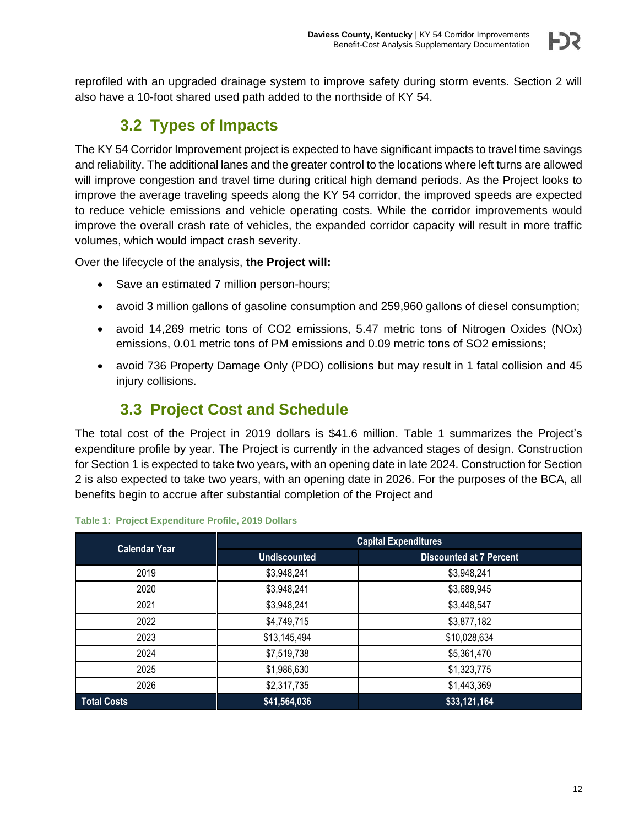# **3.2 Types of Impacts**

<span id="page-16-0"></span>The KY 54 Corridor Improvement project is expected to have significant impacts to travel time savings and reliability. The additional lanes and the greater control to the locations where left turns are allowed will improve congestion and travel time during critical high demand periods. As the Project looks to improve the average traveling speeds along the KY 54 corridor, the improved speeds are expected to reduce vehicle emissions and vehicle operating costs. While the corridor improvements would improve the overall crash rate of vehicles, the expanded corridor capacity will result in more traffic volumes, which would impact crash severity.

Over the lifecycle of the analysis, **the Project will:**

- Save an estimated 7 million person-hours;
- avoid 3 million gallons of gasoline consumption and 259,960 gallons of diesel consumption;
- avoid 14,269 metric tons of CO2 emissions, 5.47 metric tons of Nitrogen Oxides (NOx) emissions, 0.01 metric tons of PM emissions and 0.09 metric tons of SO2 emissions;
- avoid 736 Property Damage Only (PDO) collisions but may result in 1 fatal collision and 45 injury collisions.

# **3.3 Project Cost and Schedule**

<span id="page-16-1"></span>The total cost of the Project in 2019 dollars is \$41.6 million. [Table 1](#page-16-2) summarizes the Project's expenditure profile by year. The Project is currently in the advanced stages of design. Construction for Section 1 is expected to take two years, with an opening date in late 2024. Construction for Section 2 is also expected to take two years, with an opening date in 2026. For the purposes of the BCA, all benefits begin to accrue after substantial completion of the Project and

| <b>Calendar Year</b> | <b>Capital Expenditures</b> |                                |  |  |  |  |
|----------------------|-----------------------------|--------------------------------|--|--|--|--|
|                      | <b>Undiscounted</b>         | <b>Discounted at 7 Percent</b> |  |  |  |  |
| 2019                 | \$3,948,241                 | \$3,948,241                    |  |  |  |  |
| 2020                 | \$3,948,241                 | \$3,689,945                    |  |  |  |  |
| 2021                 | \$3,948,241                 | \$3,448,547                    |  |  |  |  |
| 2022                 | \$4,749,715                 | \$3,877,182                    |  |  |  |  |
| 2023                 | \$13,145,494                | \$10,028,634                   |  |  |  |  |
| 2024                 | \$7,519,738                 | \$5,361,470                    |  |  |  |  |
| 2025                 | \$1,986,630                 | \$1,323,775                    |  |  |  |  |
| 2026                 | \$2,317,735                 | \$1,443,369                    |  |  |  |  |
| <b>Total Costs</b>   | \$41,564,036                | \$33,121,164                   |  |  |  |  |

#### <span id="page-16-2"></span>**Table 1: Project Expenditure Profile, 2019 Dollars**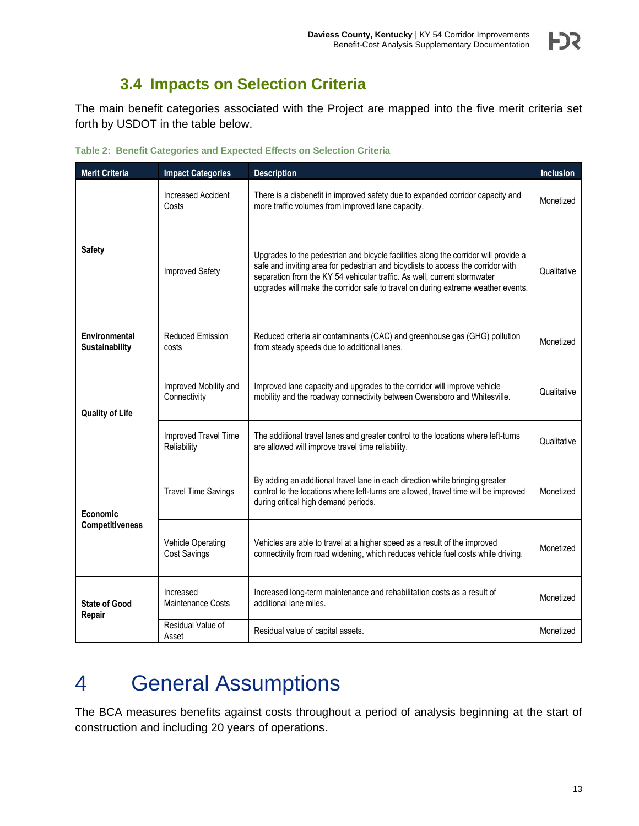F)S

# **3.4 Impacts on Selection Criteria**

<span id="page-17-0"></span>The main benefit categories associated with the Project are mapped into the five merit criteria set forth by USDOT in the table below.

| <b>Merit Criteria</b>           | <b>Impact Categories</b>                 | <b>Description</b>                                                                                                                                                                                                                                                                                                                      | Inclusion   |
|---------------------------------|------------------------------------------|-----------------------------------------------------------------------------------------------------------------------------------------------------------------------------------------------------------------------------------------------------------------------------------------------------------------------------------------|-------------|
|                                 | <b>Increased Accident</b><br>Costs       | There is a disbenefit in improved safety due to expanded corridor capacity and<br>more traffic volumes from improved lane capacity.                                                                                                                                                                                                     | Monetized   |
| <b>Safety</b>                   | Improved Safety                          | Upgrades to the pedestrian and bicycle facilities along the corridor will provide a<br>safe and inviting area for pedestrian and bicyclists to access the corridor with<br>separation from the KY 54 vehicular traffic. As well, current stormwater<br>upgrades will make the corridor safe to travel on during extreme weather events. | Qualitative |
| Environmental<br>Sustainability | <b>Reduced Emission</b><br>costs         | Reduced criteria air contaminants (CAC) and greenhouse gas (GHG) pollution<br>from steady speeds due to additional lanes.                                                                                                                                                                                                               | Monetized   |
| <b>Quality of Life</b>          | Improved Mobility and<br>Connectivity    | Improved lane capacity and upgrades to the corridor will improve vehicle<br>mobility and the roadway connectivity between Owensboro and Whitesville.                                                                                                                                                                                    | Qualitative |
|                                 | Improved Travel Time<br>Reliability      | The additional travel lanes and greater control to the locations where left-turns<br>are allowed will improve travel time reliability.                                                                                                                                                                                                  | Qualitative |
| Economic                        | <b>Travel Time Savings</b>               | By adding an additional travel lane in each direction while bringing greater<br>control to the locations where left-turns are allowed, travel time will be improved<br>during critical high demand periods.                                                                                                                             | Monetized   |
| <b>Competitiveness</b>          | Vehicle Operating<br><b>Cost Savings</b> | Vehicles are able to travel at a higher speed as a result of the improved<br>connectivity from road widening, which reduces vehicle fuel costs while driving.                                                                                                                                                                           | Monetized   |
| <b>State of Good</b><br>Repair  | Increased<br>Maintenance Costs           | Increased long-term maintenance and rehabilitation costs as a result of<br>additional lane miles.                                                                                                                                                                                                                                       | Monetized   |
|                                 | Residual Value of<br>Asset               | Residual value of capital assets.                                                                                                                                                                                                                                                                                                       | Monetized   |

<span id="page-17-2"></span>**Table 2: Benefit Categories and Expected Effects on Selection Criteria**

# <span id="page-17-1"></span>4 General Assumptions

The BCA measures benefits against costs throughout a period of analysis beginning at the start of construction and including 20 years of operations.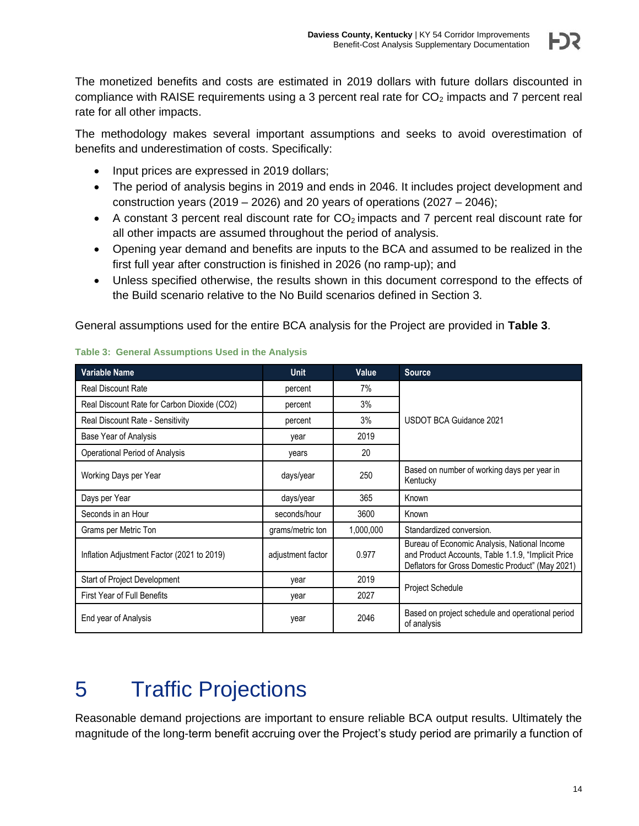The monetized benefits and costs are estimated in 2019 dollars with future dollars discounted in compliance with RAISE requirements using a 3 percent real rate for  $CO<sub>2</sub>$  impacts and 7 percent real rate for all other impacts.

The methodology makes several important assumptions and seeks to avoid overestimation of benefits and underestimation of costs. Specifically:

- Input prices are expressed in 2019 dollars;
- The period of analysis begins in 2019 and ends in 2046. It includes project development and construction years  $(2019 - 2026)$  and 20 years of operations  $(2027 - 2046)$ ;
- A constant 3 percent real discount rate for  $CO<sub>2</sub>$  impacts and 7 percent real discount rate for all other impacts are assumed throughout the period of analysis.
- Opening year demand and benefits are inputs to the BCA and assumed to be realized in the first full year after construction is finished in 2026 (no ramp-up); and
- Unless specified otherwise, the results shown in this document correspond to the effects of the Build scenario relative to the No Build scenarios defined in Section [3.](#page-14-0)

General assumptions used for the entire BCA analysis for the Project are provided in **[Table 3](#page-18-1)**.

| <b>Variable Name</b>                        | <b>Unit</b>       | Value     | <b>Source</b>                                                                                                                                          |
|---------------------------------------------|-------------------|-----------|--------------------------------------------------------------------------------------------------------------------------------------------------------|
| <b>Real Discount Rate</b>                   | percent           | 7%        |                                                                                                                                                        |
| Real Discount Rate for Carbon Dioxide (CO2) | percent           | 3%        |                                                                                                                                                        |
| Real Discount Rate - Sensitivity            | 3%<br>percent     |           | USDOT BCA Guidance 2021                                                                                                                                |
| Base Year of Analysis                       | year              | 2019      |                                                                                                                                                        |
| Operational Period of Analysis              | years             | 20        |                                                                                                                                                        |
| Working Days per Year                       | days/year         | 250       | Based on number of working days per year in<br>Kentucky                                                                                                |
| Days per Year                               | days/year         | 365       | Known                                                                                                                                                  |
| Seconds in an Hour                          | seconds/hour      | 3600      | Known                                                                                                                                                  |
| Grams per Metric Ton                        | grams/metric ton  | 1,000,000 | Standardized conversion.                                                                                                                               |
| Inflation Adjustment Factor (2021 to 2019)  | adjustment factor | 0.977     | Bureau of Economic Analysis, National Income<br>and Product Accounts, Table 1.1.9, "Implicit Price<br>Deflators for Gross Domestic Product" (May 2021) |
| Start of Project Development                | year              | 2019      |                                                                                                                                                        |
| <b>First Year of Full Benefits</b>          | year              | 2027      | <b>Project Schedule</b>                                                                                                                                |
| End year of Analysis                        | year              | 2046      | Based on project schedule and operational period<br>of analysis                                                                                        |

### <span id="page-18-1"></span>**Table 3: General Assumptions Used in the Analysis**

# <span id="page-18-0"></span>5 Traffic Projections

Reasonable demand projections are important to ensure reliable BCA output results. Ultimately the magnitude of the long-term benefit accruing over the Project's study period are primarily a function of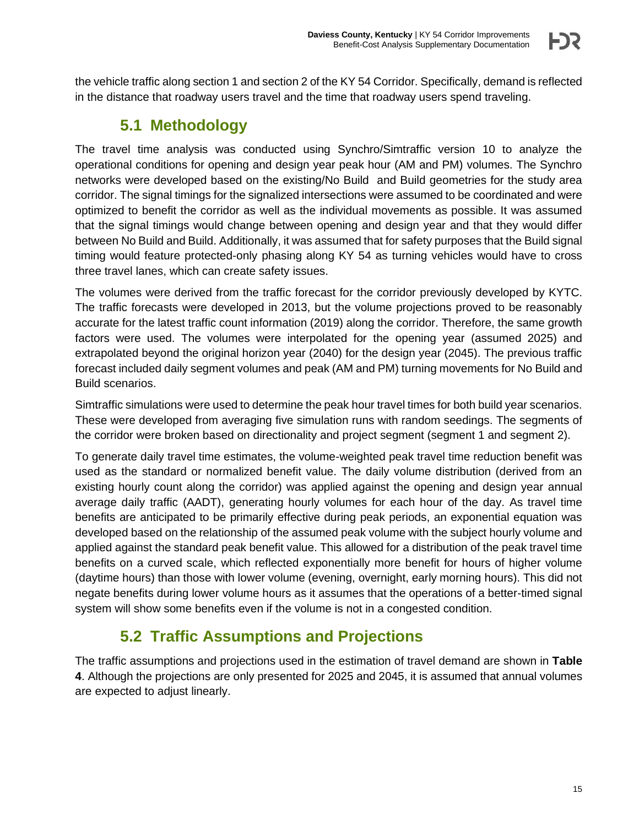the vehicle traffic along section 1 and section 2 of the KY 54 Corridor. Specifically, demand is reflected in the distance that roadway users travel and the time that roadway users spend traveling.

## **5.1 Methodology**

<span id="page-19-0"></span>The travel time analysis was conducted using Synchro/Simtraffic version 10 to analyze the operational conditions for opening and design year peak hour (AM and PM) volumes. The Synchro networks were developed based on the existing/No Build and Build geometries for the study area corridor. The signal timings for the signalized intersections were assumed to be coordinated and were optimized to benefit the corridor as well as the individual movements as possible. It was assumed that the signal timings would change between opening and design year and that they would differ between No Build and Build. Additionally, it was assumed that for safety purposes that the Build signal timing would feature protected-only phasing along KY 54 as turning vehicles would have to cross three travel lanes, which can create safety issues.

The volumes were derived from the traffic forecast for the corridor previously developed by KYTC. The traffic forecasts were developed in 2013, but the volume projections proved to be reasonably accurate for the latest traffic count information (2019) along the corridor. Therefore, the same growth factors were used. The volumes were interpolated for the opening year (assumed 2025) and extrapolated beyond the original horizon year (2040) for the design year (2045). The previous traffic forecast included daily segment volumes and peak (AM and PM) turning movements for No Build and Build scenarios.

Simtraffic simulations were used to determine the peak hour travel times for both build year scenarios. These were developed from averaging five simulation runs with random seedings. The segments of the corridor were broken based on directionality and project segment (segment 1 and segment 2).

To generate daily travel time estimates, the volume-weighted peak travel time reduction benefit was used as the standard or normalized benefit value. The daily volume distribution (derived from an existing hourly count along the corridor) was applied against the opening and design year annual average daily traffic (AADT), generating hourly volumes for each hour of the day. As travel time benefits are anticipated to be primarily effective during peak periods, an exponential equation was developed based on the relationship of the assumed peak volume with the subject hourly volume and applied against the standard peak benefit value. This allowed for a distribution of the peak travel time benefits on a curved scale, which reflected exponentially more benefit for hours of higher volume (daytime hours) than those with lower volume (evening, overnight, early morning hours). This did not negate benefits during lower volume hours as it assumes that the operations of a better-timed signal system will show some benefits even if the volume is not in a congested condition.

## **5.2 Traffic Assumptions and Projections**

<span id="page-19-1"></span>The traffic assumptions and projections used in the estimation of travel demand are shown in **[Table](#page-20-3)  [4](#page-20-3)**. Although the projections are only presented for 2025 and 2045, it is assumed that annual volumes are expected to adjust linearly.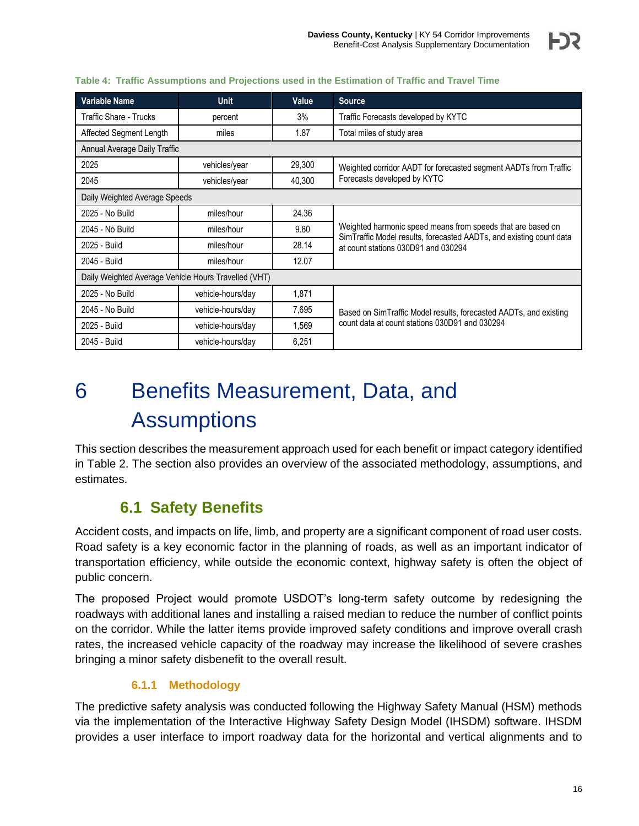| <b>Variable Name</b>                                 | <b>Unit</b>       | Value  | <b>Source</b>                                                                                              |  |  |  |  |
|------------------------------------------------------|-------------------|--------|------------------------------------------------------------------------------------------------------------|--|--|--|--|
| Traffic Share - Trucks                               | percent           | 3%     | Traffic Forecasts developed by KYTC                                                                        |  |  |  |  |
| Affected Segment Length                              | miles             | 1.87   | Total miles of study area                                                                                  |  |  |  |  |
| Annual Average Daily Traffic                         |                   |        |                                                                                                            |  |  |  |  |
| 2025                                                 | vehicles/year     | 29,300 | Weighted corridor AADT for forecasted segment AADTs from Traffic                                           |  |  |  |  |
| 2045                                                 | vehicles/year     | 40.300 | Forecasts developed by KYTC                                                                                |  |  |  |  |
| Daily Weighted Average Speeds                        |                   |        |                                                                                                            |  |  |  |  |
| 2025 - No Build                                      | miles/hour        | 24.36  |                                                                                                            |  |  |  |  |
| 2045 - No Build                                      | miles/hour        | 9.80   | Weighted harmonic speed means from speeds that are based on                                                |  |  |  |  |
| 2025 - Build                                         | miles/hour        | 28.14  | SimTraffic Model results, forecasted AADTs, and existing count data<br>at count stations 030D91 and 030294 |  |  |  |  |
| 2045 - Build                                         | miles/hour        | 12.07  |                                                                                                            |  |  |  |  |
| Daily Weighted Average Vehicle Hours Travelled (VHT) |                   |        |                                                                                                            |  |  |  |  |
| 2025 - No Build                                      | vehicle-hours/day | 1,871  |                                                                                                            |  |  |  |  |
| 2045 - No Build                                      | vehicle-hours/day | 7,695  | Based on SimTraffic Model results, forecasted AADTs, and existing                                          |  |  |  |  |
| 2025 - Build                                         | vehicle-hours/day | 1.569  | count data at count stations 030D91 and 030294                                                             |  |  |  |  |
| 2045 - Build                                         | vehicle-hours/day | 6,251  |                                                                                                            |  |  |  |  |

#### <span id="page-20-3"></span>**Table 4: Traffic Assumptions and Projections used in the Estimation of Traffic and Travel Time**

# <span id="page-20-0"></span>6 Benefits Measurement, Data, and **Assumptions**

This section describes the measurement approach used for each benefit or impact category identified in [Table 2.](#page-17-2) The section also provides an overview of the associated methodology, assumptions, and estimates.

## **6.1 Safety Benefits**

<span id="page-20-1"></span>Accident costs, and impacts on life, limb, and property are a significant component of road user costs. Road safety is a key economic factor in the planning of roads, as well as an important indicator of transportation efficiency, while outside the economic context, highway safety is often the object of public concern.

The proposed Project would promote USDOT's long-term safety outcome by redesigning the roadways with additional lanes and installing a raised median to reduce the number of conflict points on the corridor. While the latter items provide improved safety conditions and improve overall crash rates, the increased vehicle capacity of the roadway may increase the likelihood of severe crashes bringing a minor safety disbenefit to the overall result.

## **6.1.1 Methodology**

<span id="page-20-2"></span>The predictive safety analysis was conducted following the Highway Safety Manual (HSM) methods via the implementation of the Interactive Highway Safety Design Model (IHSDM) software. IHSDM provides a user interface to import roadway data for the horizontal and vertical alignments and to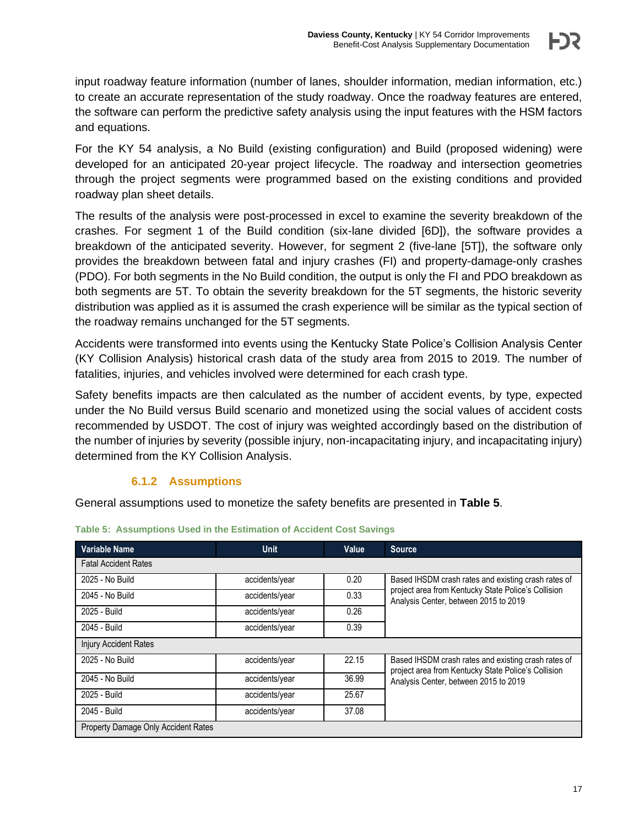input roadway feature information (number of lanes, shoulder information, median information, etc.) to create an accurate representation of the study roadway. Once the roadway features are entered, the software can perform the predictive safety analysis using the input features with the HSM factors and equations.

For the KY 54 analysis, a No Build (existing configuration) and Build (proposed widening) were developed for an anticipated 20-year project lifecycle. The roadway and intersection geometries through the project segments were programmed based on the existing conditions and provided roadway plan sheet details.

The results of the analysis were post-processed in excel to examine the severity breakdown of the crashes. For segment 1 of the Build condition (six-lane divided [6D]), the software provides a breakdown of the anticipated severity. However, for segment 2 (five-lane [5T]), the software only provides the breakdown between fatal and injury crashes (FI) and property-damage-only crashes (PDO). For both segments in the No Build condition, the output is only the FI and PDO breakdown as both segments are 5T. To obtain the severity breakdown for the 5T segments, the historic severity distribution was applied as it is assumed the crash experience will be similar as the typical section of the roadway remains unchanged for the 5T segments.

Accidents were transformed into events using the Kentucky State Police's Collision Analysis Center (KY Collision Analysis) historical crash data of the study area from 2015 to 2019. The number of fatalities, injuries, and vehicles involved were determined for each crash type.

Safety benefits impacts are then calculated as the number of accident events, by type, expected under the No Build versus Build scenario and monetized using the social values of accident costs recommended by USDOT. The cost of injury was weighted accordingly based on the distribution of the number of injuries by severity (possible injury, non-incapacitating injury, and incapacitating injury) determined from the KY Collision Analysis.

## **6.1.2 Assumptions**

<span id="page-21-0"></span>General assumptions used to monetize the safety benefits are presented in **[Table 5](#page-21-1)**.

| <b>Variable Name</b>                | <b>Unit</b>    |       | <b>Source</b>                                                                                              |
|-------------------------------------|----------------|-------|------------------------------------------------------------------------------------------------------------|
| <b>Fatal Accident Rates</b>         |                |       |                                                                                                            |
| 2025 - No Build                     | accidents/year | 0.20  | Based IHSDM crash rates and existing crash rates of                                                        |
| 2045 - No Build                     | accidents/year | 0.33  | project area from Kentucky State Police's Collision<br>Analysis Center, between 2015 to 2019               |
| 2025 - Build                        | accidents/year | 0.26  |                                                                                                            |
| 2045 - Build                        | accidents/year | 0.39  |                                                                                                            |
| <b>Injury Accident Rates</b>        |                |       |                                                                                                            |
| 2025 - No Build                     | accidents/year | 22.15 | Based IHSDM crash rates and existing crash rates of<br>project area from Kentucky State Police's Collision |
| 2045 - No Build                     | accidents/year | 36.99 | Analysis Center, between 2015 to 2019                                                                      |
| 2025 - Build                        | accidents/year | 25.67 |                                                                                                            |
| 2045 - Build                        | accidents/year | 37.08 |                                                                                                            |
| Property Damage Only Accident Rates |                |       |                                                                                                            |

#### <span id="page-21-1"></span>**Table 5: Assumptions Used in the Estimation of Accident Cost Savings**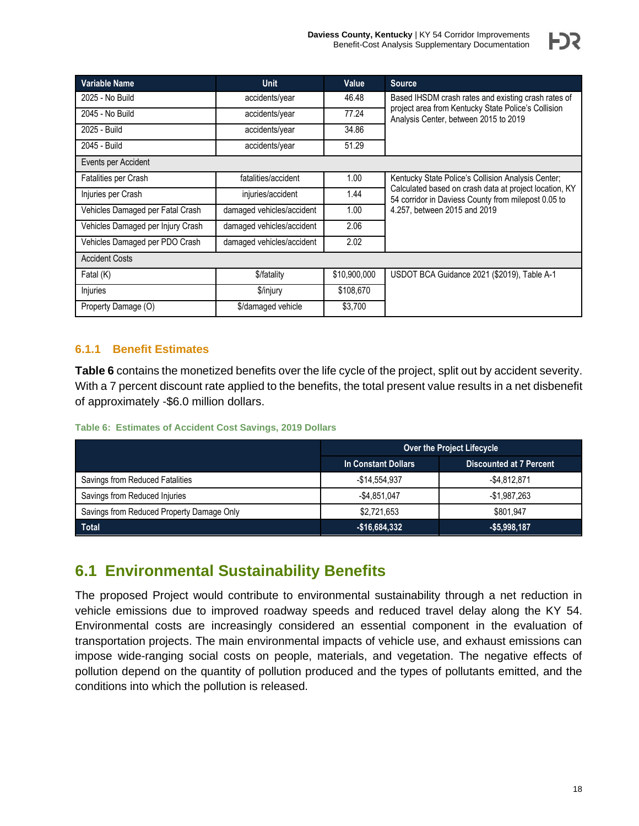| Variable Name                     | <b>Unit</b>               | Value     | <b>Source</b>                                                                                                 |
|-----------------------------------|---------------------------|-----------|---------------------------------------------------------------------------------------------------------------|
| 2025 - No Build                   | accidents/year            |           | Based IHSDM crash rates and existing crash rates of                                                           |
| 2045 - No Build                   | accidents/year            | 77.24     | project area from Kentucky State Police's Collision<br>Analysis Center, between 2015 to 2019                  |
| 2025 - Build                      | accidents/year            | 34.86     |                                                                                                               |
| 2045 - Build                      | accidents/year            | 51.29     |                                                                                                               |
| Events per Accident               |                           |           |                                                                                                               |
| Fatalities per Crash              | fatalities/accident       | 1.00      | Kentucky State Police's Collision Analysis Center;                                                            |
| Injuries per Crash                | injuries/accident         | 1.44      | Calculated based on crash data at project location, KY<br>54 corridor in Daviess County from milepost 0.05 to |
| Vehicles Damaged per Fatal Crash  | damaged vehicles/accident | 1.00      | 4.257, between 2015 and 2019                                                                                  |
| Vehicles Damaged per Injury Crash | damaged vehicles/accident | 2.06      |                                                                                                               |
| Vehicles Damaged per PDO Crash    | damaged vehicles/accident | 2.02      |                                                                                                               |
| <b>Accident Costs</b>             |                           |           |                                                                                                               |
| Fatal (K)                         | \$/fatality               |           | USDOT BCA Guidance 2021 (\$2019), Table A-1                                                                   |
| Injuries                          | \$/injury                 | \$108,670 |                                                                                                               |
| Property Damage (O)               | \$/damaged vehicle        | \$3,700   |                                                                                                               |

## <span id="page-22-0"></span>**6.1.1 Benefit Estimates**

**[Table 6](#page-22-2)** contains the monetized benefits over the life cycle of the project, split out by accident severity. With a 7 percent discount rate applied to the benefits, the total present value results in a net disbenefit of approximately -\$6.0 million dollars.

<span id="page-22-2"></span>**Table 6: Estimates of Accident Cost Savings, 2019 Dollars**

|                                           |                     | <b>Over the Project Lifecycle</b> |
|-------------------------------------------|---------------------|-----------------------------------|
|                                           | In Constant Dollars | <b>Discounted at 7 Percent</b>    |
| Savings from Reduced Fatalities           | -\$14.554.937       | $-$4,812,871$                     |
| Savings from Reduced Injuries             | $-$4.851.047$       | -\$1.987.263                      |
| Savings from Reduced Property Damage Only | \$2.721.653         | \$801.947                         |
| <b>Total</b>                              | $-$16,684,332$      | $-$5,998,187$                     |

## <span id="page-22-1"></span>**6.1 Environmental Sustainability Benefits**

The proposed Project would contribute to environmental sustainability through a net reduction in vehicle emissions due to improved roadway speeds and reduced travel delay along the KY 54. Environmental costs are increasingly considered an essential component in the evaluation of transportation projects. The main environmental impacts of vehicle use, and exhaust emissions can impose wide-ranging social costs on people, materials, and vegetation. The negative effects of pollution depend on the quantity of pollution produced and the types of pollutants emitted, and the conditions into which the pollution is released.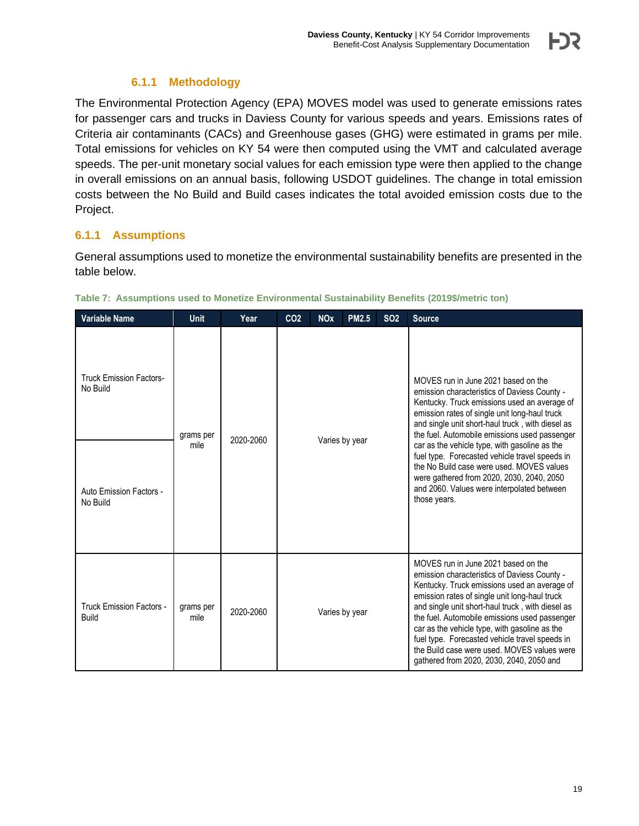## **6.1.1 Methodology**

<span id="page-23-0"></span>The Environmental Protection Agency (EPA) MOVES model was used to generate emissions rates for passenger cars and trucks in Daviess County for various speeds and years. Emissions rates of Criteria air contaminants (CACs) and Greenhouse gases (GHG) were estimated in grams per mile. Total emissions for vehicles on KY 54 were then computed using the VMT and calculated average speeds. The per-unit monetary social values for each emission type were then applied to the change in overall emissions on an annual basis, following USDOT guidelines. The change in total emission costs between the No Build and Build cases indicates the total avoided emission costs due to the Project.

## <span id="page-23-1"></span>**6.1.1 Assumptions**

General assumptions used to monetize the environmental sustainability benefits are presented in the table below.

| <b>Variable Name</b>                       | <b>Unit</b>       | Year      | CO <sub>2</sub> | NOx            | <b>PM2.5</b>   | <b>SO2</b> | <b>Source</b>                                                                                                                                                                                                                                                                                                                                                                                                                                                                           |  |
|--------------------------------------------|-------------------|-----------|-----------------|----------------|----------------|------------|-----------------------------------------------------------------------------------------------------------------------------------------------------------------------------------------------------------------------------------------------------------------------------------------------------------------------------------------------------------------------------------------------------------------------------------------------------------------------------------------|--|
| <b>Truck Emission Factors-</b><br>No Build | grams per<br>mile | 2020-2060 |                 | Varies by year |                |            | MOVES run in June 2021 based on the<br>emission characteristics of Daviess County -<br>Kentucky. Truck emissions used an average of<br>emission rates of single unit long-haul truck<br>and single unit short-haul truck, with diesel as<br>the fuel. Automobile emissions used passenger<br>car as the vehicle type, with gasoline as the                                                                                                                                              |  |
| Auto Emission Factors -<br>No Build        |                   |           |                 |                |                |            | fuel type. Forecasted vehicle travel speeds in<br>the No Build case were used. MOVES values<br>were gathered from 2020, 2030, 2040, 2050<br>and 2060. Values were interpolated between<br>those years.                                                                                                                                                                                                                                                                                  |  |
| <b>Truck Emission Factors -</b><br>Build   | grams per<br>mile | 2020-2060 |                 |                | Varies by year |            | MOVES run in June 2021 based on the<br>emission characteristics of Daviess County -<br>Kentucky. Truck emissions used an average of<br>emission rates of single unit long-haul truck<br>and single unit short-haul truck, with diesel as<br>the fuel. Automobile emissions used passenger<br>car as the vehicle type, with gasoline as the<br>fuel type. Forecasted vehicle travel speeds in<br>the Build case were used. MOVES values were<br>gathered from 2020, 2030, 2040, 2050 and |  |

<span id="page-23-2"></span>

|  |  |  | Table 7: Assumptions used to Monetize Environmental Sustainability Benefits (2019\$/metric ton) |  |
|--|--|--|-------------------------------------------------------------------------------------------------|--|
|  |  |  |                                                                                                 |  |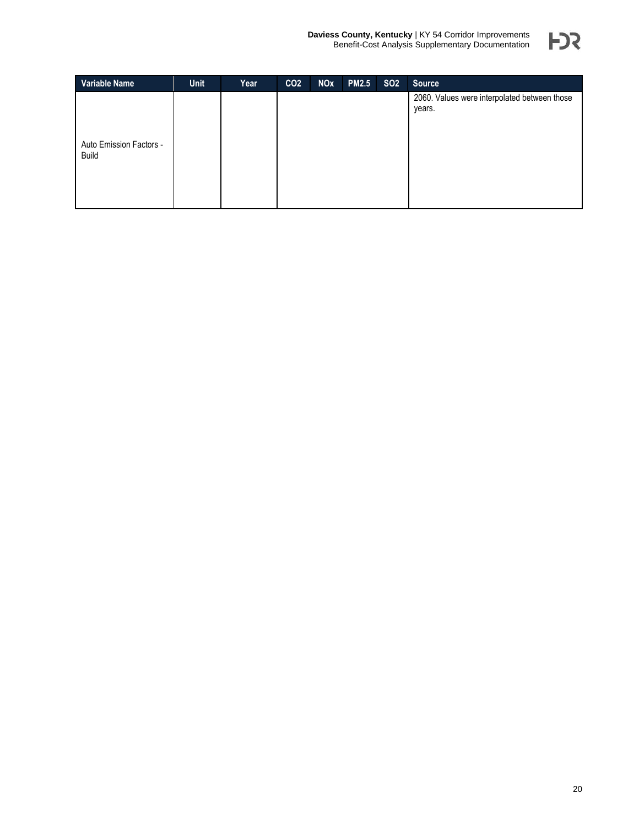| Variable Name                    | <b>Unit</b> | Year | CO <sub>2</sub> | <b>NOx</b> | <b>PM2.5</b> | <b>SO2</b> | Source                                                 |
|----------------------------------|-------------|------|-----------------|------------|--------------|------------|--------------------------------------------------------|
| Auto Emission Factors -<br>Build |             |      |                 |            |              |            | 2060. Values were interpolated between those<br>years. |
|                                  |             |      |                 |            |              |            |                                                        |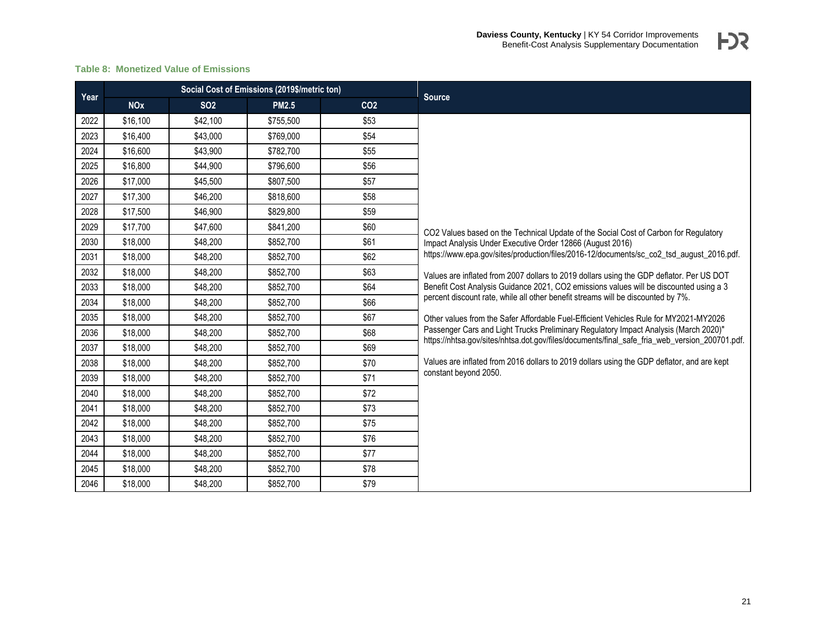# FJR

#### **Table 8: Monetized Value of Emissions**

<span id="page-25-0"></span>

|      |            | Social Cost of Emissions (2019\$/metric ton) |              |                 |                                                                                                                                                                                       |
|------|------------|----------------------------------------------|--------------|-----------------|---------------------------------------------------------------------------------------------------------------------------------------------------------------------------------------|
| Year | <b>NOx</b> | <b>SO2</b>                                   | <b>PM2.5</b> | CO <sub>2</sub> | <b>Source</b>                                                                                                                                                                         |
| 2022 | \$16,100   | \$42,100                                     | \$755,500    | \$53            |                                                                                                                                                                                       |
| 2023 | \$16,400   | \$43,000                                     | \$769,000    | \$54            |                                                                                                                                                                                       |
| 2024 | \$16,600   | \$43,900                                     | \$782,700    | \$55            |                                                                                                                                                                                       |
| 2025 | \$16,800   | \$44,900                                     | \$796,600    | \$56            |                                                                                                                                                                                       |
| 2026 | \$17,000   | \$45,500                                     | \$807,500    | \$57            |                                                                                                                                                                                       |
| 2027 | \$17,300   | \$46,200                                     | \$818,600    | \$58            |                                                                                                                                                                                       |
| 2028 | \$17,500   | \$46.900                                     | \$829,800    | \$59            |                                                                                                                                                                                       |
| 2029 | \$17,700   | \$47,600                                     | \$841,200    | \$60            | CO2 Values based on the Technical Update of the Social Cost of Carbon for Regulatory                                                                                                  |
| 2030 | \$18,000   | \$48,200                                     | \$852,700    | \$61            | Impact Analysis Under Executive Order 12866 (August 2016)                                                                                                                             |
| 2031 | \$18,000   | \$48,200                                     | \$852,700    | \$62            | https://www.epa.gov/sites/production/files/2016-12/documents/sc_co2_tsd_august_2016.pdf.                                                                                              |
| 2032 | \$18,000   | \$48,200                                     | \$852,700    | \$63            | Values are inflated from 2007 dollars to 2019 dollars using the GDP deflator. Per US DOT                                                                                              |
| 2033 | \$18,000   | \$48,200                                     | \$852,700    | \$64            | Benefit Cost Analysis Guidance 2021, CO2 emissions values will be discounted using a 3                                                                                                |
| 2034 | \$18,000   | \$48,200                                     | \$852,700    | \$66            | percent discount rate, while all other benefit streams will be discounted by 7%.                                                                                                      |
| 2035 | \$18,000   | \$48,200                                     | \$852,700    | \$67            | Other values from the Safer Affordable Fuel-Efficient Vehicles Rule for MY2021-MY2026                                                                                                 |
| 2036 | \$18,000   | \$48,200                                     | \$852,700    | \$68            | Passenger Cars and Light Trucks Preliminary Regulatory Impact Analysis (March 2020)"<br>https://nhtsa.gov/sites/nhtsa.dot.gov/files/documents/final_safe_fria_web_version_200701.pdf. |
| 2037 | \$18,000   | \$48,200                                     | \$852,700    | \$69            |                                                                                                                                                                                       |
| 2038 | \$18,000   | \$48,200                                     | \$852,700    | \$70            | Values are inflated from 2016 dollars to 2019 dollars using the GDP deflator, and are kept                                                                                            |
| 2039 | \$18,000   | \$48,200                                     | \$852,700    | \$71            | constant beyond 2050.                                                                                                                                                                 |
| 2040 | \$18,000   | \$48.200                                     | \$852.700    | \$72            |                                                                                                                                                                                       |
| 2041 | \$18,000   | \$48,200                                     | \$852,700    | \$73            |                                                                                                                                                                                       |
| 2042 | \$18,000   | \$48,200                                     | \$852,700    | \$75            |                                                                                                                                                                                       |
| 2043 | \$18,000   | \$48,200                                     | \$852,700    | \$76            |                                                                                                                                                                                       |
| 2044 | \$18,000   | \$48,200                                     | \$852,700    | \$77            |                                                                                                                                                                                       |
| 2045 | \$18,000   | \$48,200                                     | \$852,700    | \$78            |                                                                                                                                                                                       |
| 2046 | \$18,000   | \$48,200                                     | \$852,700    | \$79            |                                                                                                                                                                                       |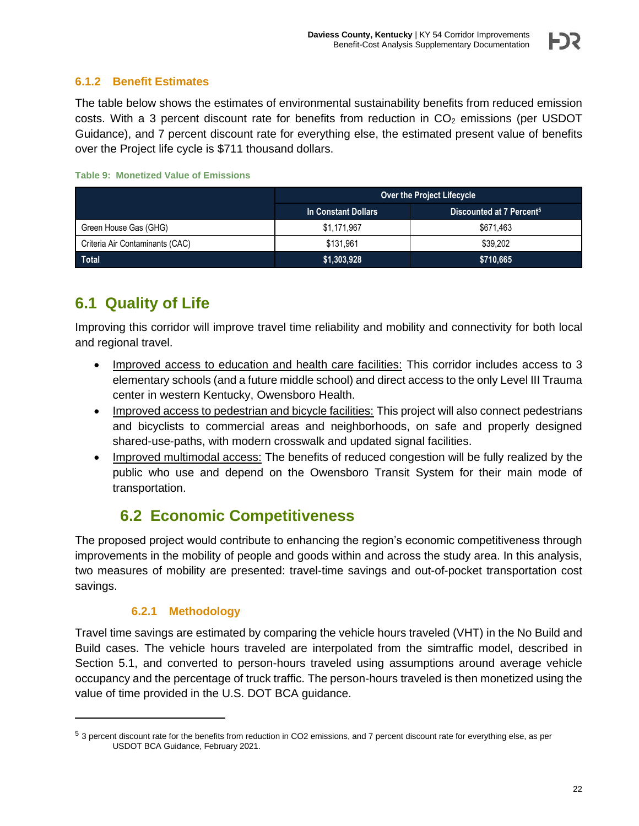### <span id="page-26-0"></span>**6.1.2 Benefit Estimates**

The table below shows the estimates of environmental sustainability benefits from reduced emission costs. With a 3 percent discount rate for benefits from reduction in  $CO<sub>2</sub>$  emissions (per USDOT Guidance), and 7 percent discount rate for everything else, the estimated present value of benefits over the Project life cycle is \$711 thousand dollars.

#### <span id="page-26-4"></span>**Table 9: Monetized Value of Emissions**

|                                 | <b>Over the Project Lifecycle</b> |                                      |  |  |  |
|---------------------------------|-----------------------------------|--------------------------------------|--|--|--|
|                                 | In Constant Dollars               | Discounted at 7 Percent <sup>5</sup> |  |  |  |
| Green House Gas (GHG)           | \$1.171.967                       | \$671.463                            |  |  |  |
| Criteria Air Contaminants (CAC) | \$131.961                         | \$39,202                             |  |  |  |
| <b>Total</b>                    | \$1,303,928                       | \$710,665                            |  |  |  |

## <span id="page-26-1"></span>**6.1 Quality of Life**

Improving this corridor will improve travel time reliability and mobility and connectivity for both local and regional travel.

- Improved access to education and health care facilities: This corridor includes access to 3 elementary schools (and a future middle school) and direct access to the only Level III Trauma center in western Kentucky, Owensboro Health.
- Improved access to pedestrian and bicycle facilities: This project will also connect pedestrians and bicyclists to commercial areas and neighborhoods, on safe and properly designed shared-use-paths, with modern crosswalk and updated signal facilities.
- Improved multimodal access: The benefits of reduced congestion will be fully realized by the public who use and depend on the Owensboro Transit System for their main mode of transportation.

## **6.2 Economic Competitiveness**

<span id="page-26-2"></span>The proposed project would contribute to enhancing the region's economic competitiveness through improvements in the mobility of people and goods within and across the study area. In this analysis, two measures of mobility are presented: travel-time savings and out-of-pocket transportation cost savings.

## **6.2.1 Methodology**

<span id="page-26-3"></span>Travel time savings are estimated by comparing the vehicle hours traveled (VHT) in the No Build and Build cases. The vehicle hours traveled are interpolated from the simtraffic model, described in Section [5.1,](#page-19-0) and converted to person-hours traveled using assumptions around average vehicle occupancy and the percentage of truck traffic. The person-hours traveled is then monetized using the value of time provided in the U.S. DOT BCA guidance.

<sup>5</sup> 3 percent discount rate for the benefits from reduction in CO2 emissions, and 7 percent discount rate for everything else, as per USDOT BCA Guidance, February 2021.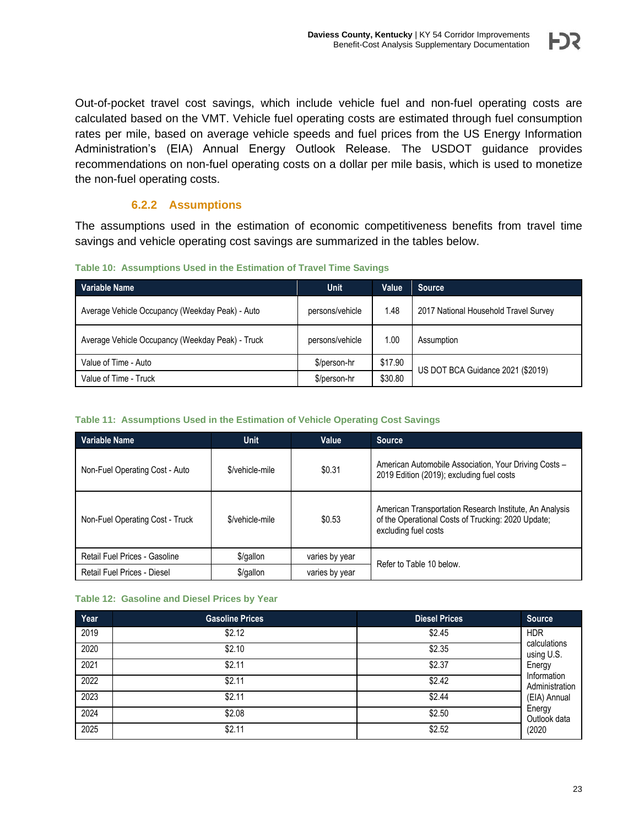Out-of-pocket travel cost savings, which include vehicle fuel and non-fuel operating costs are calculated based on the VMT. Vehicle fuel operating costs are estimated through fuel consumption rates per mile, based on average vehicle speeds and fuel prices from the US Energy Information Administration's (EIA) Annual Energy Outlook Release. The USDOT guidance provides recommendations on non-fuel operating costs on a dollar per mile basis, which is used to monetize the non-fuel operating costs.

### **6.2.2 Assumptions**

<span id="page-27-0"></span>The assumptions used in the estimation of economic competitiveness benefits from travel time savings and vehicle operating cost savings are summarized in the tables below.

<span id="page-27-1"></span>**Table 10: Assumptions Used in the Estimation of Travel Time Savings**

| Variable Name                                    | <b>Unit</b>     | Value   | <b>Source</b>                         |
|--------------------------------------------------|-----------------|---------|---------------------------------------|
| Average Vehicle Occupancy (Weekday Peak) - Auto  | persons/vehicle | 1.48    | 2017 National Household Travel Survey |
| Average Vehicle Occupancy (Weekday Peak) - Truck | persons/vehicle | 1.00    | Assumption                            |
| Value of Time - Auto                             | \$/person-hr    | \$17.90 | US DOT BCA Guidance 2021 (\$2019)     |
| Value of Time - Truck                            | \$/person-hr    | \$30.80 |                                       |

#### <span id="page-27-2"></span>**Table 11: Assumptions Used in the Estimation of Vehicle Operating Cost Savings**

| Variable Name                   | <b>Unit</b>     | Value          | <b>Source</b>                                                                                                                         |
|---------------------------------|-----------------|----------------|---------------------------------------------------------------------------------------------------------------------------------------|
| Non-Fuel Operating Cost - Auto  | \$/vehicle-mile | \$0.31         | American Automobile Association, Your Driving Costs -<br>2019 Edition (2019); excluding fuel costs                                    |
| Non-Fuel Operating Cost - Truck | \$/vehicle-mile | \$0.53         | American Transportation Research Institute, An Analysis<br>of the Operational Costs of Trucking: 2020 Update;<br>excluding fuel costs |
| Retail Fuel Prices - Gasoline   | \$/gallon       | varies by year | Refer to Table 10 below.                                                                                                              |
| Retail Fuel Prices - Diesel     | \$/gallon       | varies by year |                                                                                                                                       |

#### <span id="page-27-3"></span>**Table 12: Gasoline and Diesel Prices by Year**

| Year | <b>Gasoline Prices</b> | <b>Diesel Prices</b> | <b>Source</b>                 |
|------|------------------------|----------------------|-------------------------------|
| 2019 | \$2.12                 | \$2.45               | <b>HDR</b>                    |
| 2020 | \$2.10                 | \$2.35               | calculations<br>using U.S.    |
| 2021 | \$2.11                 | \$2.37               | Energy                        |
| 2022 | \$2.11                 | \$2.42               | Information<br>Administration |
| 2023 | \$2.11                 | \$2.44               | (EIA) Annual                  |
| 2024 | \$2.08                 | \$2.50               | Energy<br>Outlook data        |
| 2025 | \$2.11                 | \$2.52               | (2020)                        |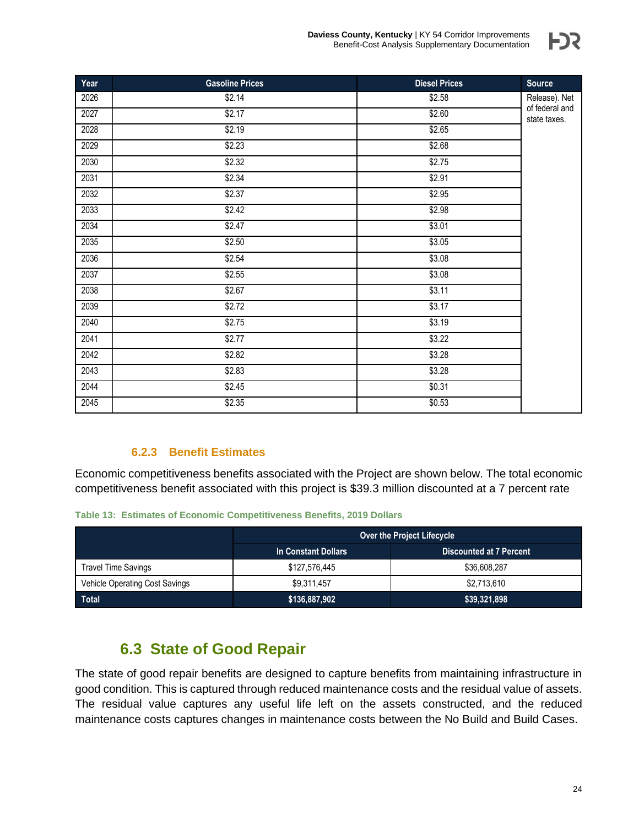| טווסווס<br>entation |  |
|---------------------|--|
|                     |  |
|                     |  |

| Year | <b>Gasoline Prices</b> | <b>Diesel Prices</b> | <b>Source</b>                  |
|------|------------------------|----------------------|--------------------------------|
| 2026 | \$2.14                 | \$2.58               | Release). Net                  |
| 2027 | \$2.17                 | \$2.60               | of federal and<br>state taxes. |
| 2028 | \$2.19                 | \$2.65               |                                |
| 2029 | \$2.23                 | \$2.68               |                                |
| 2030 | \$2.32                 | \$2.75               |                                |
| 2031 | \$2.34                 | \$2.91               |                                |
| 2032 | \$2.37                 | \$2.95               |                                |
| 2033 | \$2.42                 | \$2.98               |                                |
| 2034 | \$2.47                 | \$3.01               |                                |
| 2035 | \$2.50                 | \$3.05               |                                |
| 2036 | \$2.54                 | \$3.08               |                                |
| 2037 | \$2.55                 | \$3.08               |                                |
| 2038 | \$2.67                 | \$3.11               |                                |
| 2039 | \$2.72                 | \$3.17               |                                |
| 2040 | \$2.75                 | \$3.19               |                                |
| 2041 | \$2.77                 | \$3.22               |                                |
| 2042 | \$2.82                 | \$3.28               |                                |
| 2043 | \$2.83                 | \$3.28               |                                |
| 2044 | \$2.45                 | \$0.31               |                                |
| 2045 | \$2.35                 | \$0.53               |                                |

## **6.2.3 Benefit Estimates**

<span id="page-28-0"></span>Economic competitiveness benefits associated with the Project are shown below. The total economic competitiveness benefit associated with this project is \$39.3 million discounted at a 7 percent rate

<span id="page-28-2"></span>**Table 13: Estimates of Economic Competitiveness Benefits, 2019 Dollars**

|                                | Over the Project Lifecycle |              |  |  |  |
|--------------------------------|----------------------------|--------------|--|--|--|
|                                | In Constant Dollars        |              |  |  |  |
| Travel Time Savings            | \$127,576,445              | \$36,608,287 |  |  |  |
| Vehicle Operating Cost Savings | \$9.311.457                | \$2,713,610  |  |  |  |
| <b>Total</b>                   | \$136,887,902              | \$39,321,898 |  |  |  |

## **6.3 State of Good Repair**

<span id="page-28-1"></span>The state of good repair benefits are designed to capture benefits from maintaining infrastructure in good condition. This is captured through reduced maintenance costs and the residual value of assets. The residual value captures any useful life left on the assets constructed, and the reduced maintenance costs captures changes in maintenance costs between the No Build and Build Cases.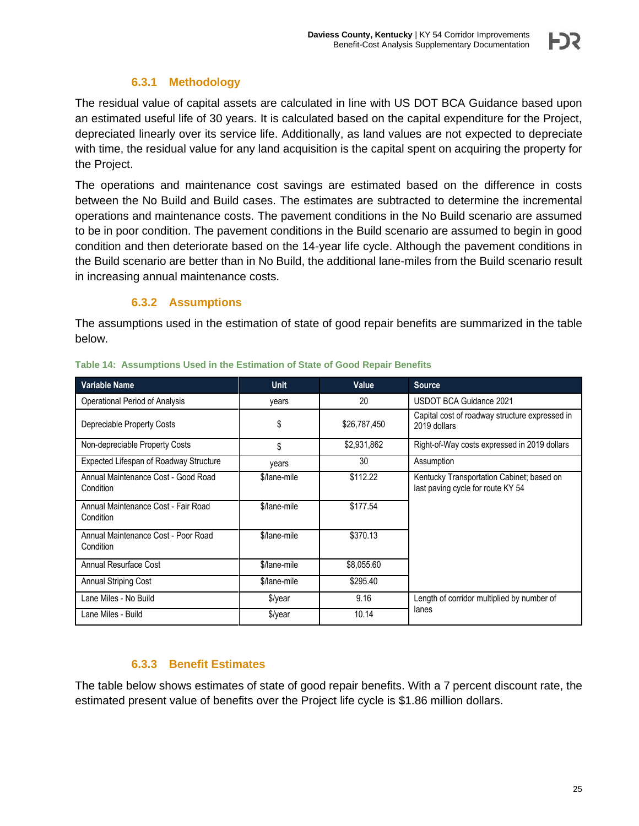### **6.3.1 Methodology**

<span id="page-29-0"></span>The residual value of capital assets are calculated in line with US DOT BCA Guidance based upon an estimated useful life of 30 years. It is calculated based on the capital expenditure for the Project, depreciated linearly over its service life. Additionally, as land values are not expected to depreciate with time, the residual value for any land acquisition is the capital spent on acquiring the property for the Project.

The operations and maintenance cost savings are estimated based on the difference in costs between the No Build and Build cases. The estimates are subtracted to determine the incremental operations and maintenance costs. The pavement conditions in the No Build scenario are assumed to be in poor condition. The pavement conditions in the Build scenario are assumed to begin in good condition and then deteriorate based on the 14-year life cycle. Although the pavement conditions in the Build scenario are better than in No Build, the additional lane-miles from the Build scenario result in increasing annual maintenance costs.

### **6.3.2 Assumptions**

<span id="page-29-1"></span>The assumptions used in the estimation of state of good repair benefits are summarized in the table below.

| <b>Variable Name</b>                             | <b>Unit</b>  | Value        | <b>Source</b>                                                                  |
|--------------------------------------------------|--------------|--------------|--------------------------------------------------------------------------------|
| Operational Period of Analysis                   | years        | 20           | USDOT BCA Guidance 2021                                                        |
| Depreciable Property Costs                       | \$           | \$26,787,450 | Capital cost of roadway structure expressed in<br>2019 dollars                 |
| Non-depreciable Property Costs                   | \$           | \$2,931,862  | Right-of-Way costs expressed in 2019 dollars                                   |
| Expected Lifespan of Roadway Structure           | vears        | 30           | Assumption                                                                     |
| Annual Maintenance Cost - Good Road<br>Condition | \$/lane-mile | \$112.22     | Kentucky Transportation Cabinet; based on<br>last paving cycle for route KY 54 |
| Annual Maintenance Cost - Fair Road<br>Condition | \$/lane-mile | \$177.54     |                                                                                |
| Annual Maintenance Cost - Poor Road<br>Condition | \$/lane-mile | \$370.13     |                                                                                |
| Annual Resurface Cost                            | \$/lane-mile | \$8,055.60   |                                                                                |
| Annual Striping Cost                             | \$/lane-mile | \$295.40     |                                                                                |
| Lane Miles - No Build                            | \$/year      | 9.16         | Length of corridor multiplied by number of                                     |
| Lane Miles - Build                               | \$/year      | 10.14        | lanes                                                                          |

#### <span id="page-29-3"></span>**Table 14: Assumptions Used in the Estimation of State of Good Repair Benefits**

## **6.3.3 Benefit Estimates**

<span id="page-29-2"></span>The table below shows estimates of state of good repair benefits. With a 7 percent discount rate, the estimated present value of benefits over the Project life cycle is \$1.86 million dollars.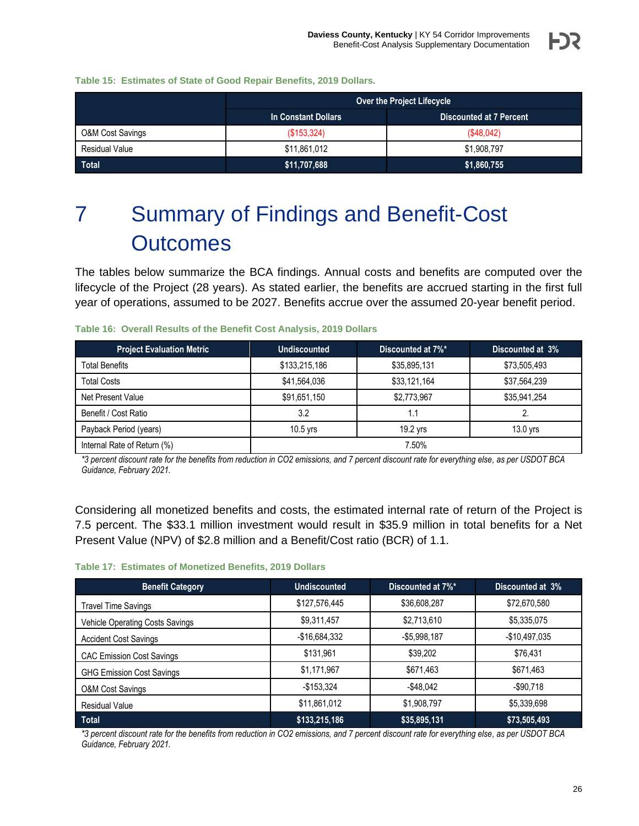<span id="page-30-1"></span>

|                             | Over the Project Lifecycle |                                |  |
|-----------------------------|----------------------------|--------------------------------|--|
|                             | In Constant Dollars        | <b>Discounted at 7 Percent</b> |  |
| <b>O&amp;M Cost Savings</b> | (\$153,324)                | $($ \$48,042)                  |  |
| <b>Residual Value</b>       | \$11,861,012               | \$1,908,797                    |  |
| <b>Total</b>                | \$11,707,688               | \$1,860,755                    |  |

# <span id="page-30-0"></span>7 Summary of Findings and Benefit-Cost **Outcomes**

The tables below summarize the BCA findings. Annual costs and benefits are computed over the lifecycle of the Project (28 years). As stated earlier, the benefits are accrued starting in the first full year of operations, assumed to be 2027. Benefits accrue over the assumed 20-year benefit period.

| <b>Project Evaluation Metric</b> | <b>Undiscounted</b> | Discounted at 3% |              |  |
|----------------------------------|---------------------|------------------|--------------|--|
| <b>Total Benefits</b>            | \$133,215,186       | \$35,895,131     | \$73,505,493 |  |
| <b>Total Costs</b>               | \$41,564,036        | \$33,121,164     | \$37,564,239 |  |
| Net Present Value                | \$91,651,150        | \$2,773,967      | \$35,941,254 |  |
| Benefit / Cost Ratio             | 3.2                 | ۱.1              |              |  |
| Payback Period (years)           | $10.5$ yrs          | 19.2 yrs         | $13.0$ yrs   |  |
| Internal Rate of Return (%)      | 7.50%               |                  |              |  |

#### <span id="page-30-2"></span>**Table 16: Overall Results of the Benefit Cost Analysis, 2019 Dollars**

*[\\*3 percent discount rate for the benefits from reduction in CO2 emissions, and 7 percent discount rate for everything else, as per USDOT BCA](file:///C:/Users/OKosta/AppData/Local/Microsoft/Windows/INetCache/Content.MSO/B3435796.tmp%23RANGE!_ftnref1)  [Guidance, February 2021.](file:///C:/Users/OKosta/AppData/Local/Microsoft/Windows/INetCache/Content.MSO/B3435796.tmp%23RANGE!_ftnref1)*

Considering all monetized benefits and costs, the estimated internal rate of return of the Project is 7.5 percent. The \$33.1 million investment would result in \$35.9 million in total benefits for a Net Present Value (NPV) of \$2.8 million and a Benefit/Cost ratio (BCR) of 1.1.

#### <span id="page-30-3"></span>**Table 17: Estimates of Monetized Benefits, 2019 Dollars**

| <b>Benefit Category</b>          | <b>Undiscounted</b> | Discounted at 7%* | Discounted at 3% |
|----------------------------------|---------------------|-------------------|------------------|
| <b>Travel Time Savings</b>       | \$127,576,445       | \$36,608,287      | \$72,670,580     |
| Vehicle Operating Costs Savings  | \$9,311,457         | \$2,713,610       | \$5,335,075      |
| <b>Accident Cost Savings</b>     | -\$16,684,332       | $-$5,998,187$     | $-$10,497,035$   |
| <b>CAC Emission Cost Savings</b> | \$131,961           | \$39,202          | \$76,431         |
| <b>GHG Emission Cost Savings</b> | \$1,171,967         | \$671,463         | \$671,463        |
| <b>O&amp;M Cost Savings</b>      | $-$153,324$         | $-$ \$48.042      | $-$ \$90.718     |
| <b>Residual Value</b>            | \$11,861,012        | \$1,908,797       | \$5,339,698      |
| <b>Total</b>                     | \$133,215,186       | \$35,895,131      | \$73,505,493     |

*[\\*3 percent discount rate for the benefits from reduction in CO2 emissions, and 7 percent discount rate for everything else, as per USDOT BCA](file:///C:/Users/OKosta/AppData/Local/Microsoft/Windows/INetCache/Content.MSO/B3435796.tmp%23RANGE!_ftnref1)  [Guidance, February 2021.](file:///C:/Users/OKosta/AppData/Local/Microsoft/Windows/INetCache/Content.MSO/B3435796.tmp%23RANGE!_ftnref1)*